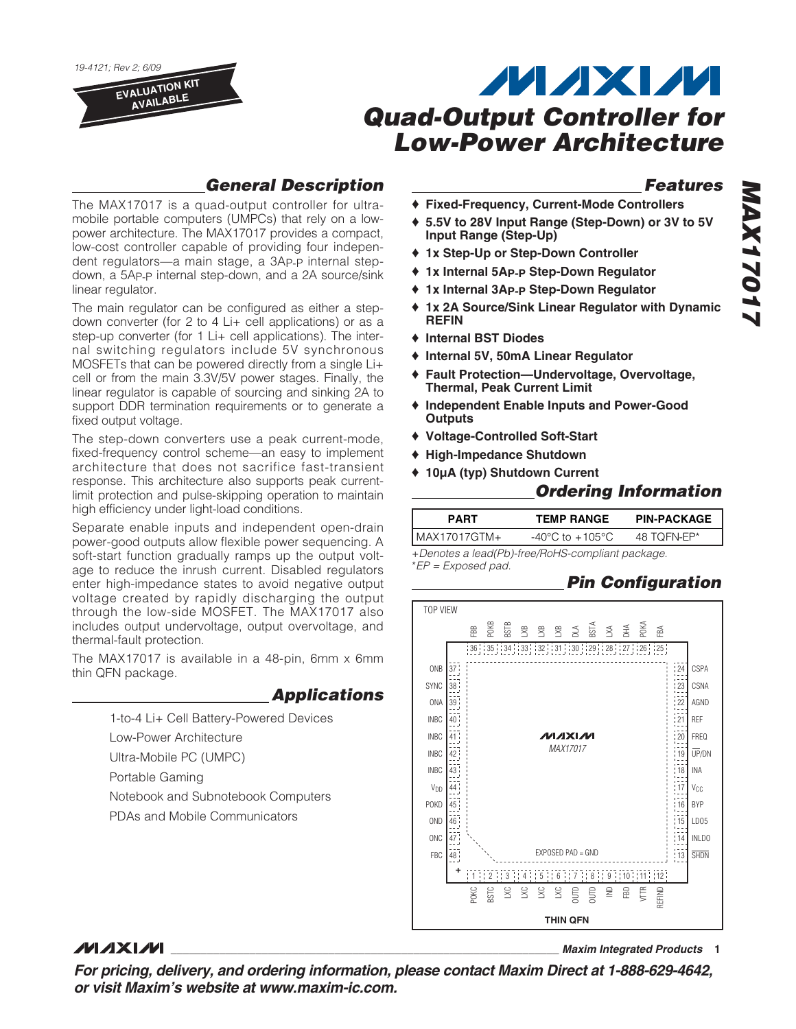19-4121; Rev 2; 6/09

**EVALUATION KIT AVAILABLE**

# **MAXM Quad-Output Controller for Low-Power Architecture**

### **General Description**

The MAX17017 is a quad-output controller for ultramobile portable computers (UMPCs) that rely on a lowpower architecture. The MAX17017 provides a compact, low-cost controller capable of providing four independent regulators—a main stage, a 3AP-P internal stepdown, a 5AP-P internal step-down, and a 2A source/sink linear regulator.

The main regulator can be configured as either a stepdown converter (for 2 to 4 Li+ cell applications) or as a step-up converter (for 1 Li+ cell applications). The internal switching regulators include 5V synchronous MOSFETs that can be powered directly from a single Li+ cell or from the main 3.3V/5V power stages. Finally, the linear regulator is capable of sourcing and sinking 2A to support DDR termination requirements or to generate a fixed output voltage.

The step-down converters use a peak current-mode, fixed-frequency control scheme—an easy to implement architecture that does not sacrifice fast-transient response. This architecture also supports peak currentlimit protection and pulse-skipping operation to maintain high efficiency under light-load conditions.

Separate enable inputs and independent open-drain power-good outputs allow flexible power sequencing. A soft-start function gradually ramps up the output voltage to reduce the inrush current. Disabled regulators enter high-impedance states to avoid negative output voltage created by rapidly discharging the output through the low-side MOSFET. The MAX17017 also includes output undervoltage, output overvoltage, and thermal-fault protection.

The MAX17017 is available in a 48-pin, 6mm x 6mm thin QFN package.

### **Applications**

1-to-4 Li+ Cell Battery-Powered Devices

Low-Power Architecture

Ultra-Mobile PC (UMPC)

Portable Gaming

Notebook and Subnotebook Computers

PDAs and Mobile Communicators

### **Features**

- ♦ **Fixed-Frequency, Current-Mode Controllers**
- ♦ **5.5V to 28V Input Range (Step-Down) or 3V to 5V Input Range (Step-Up)**
- ♦ **1x Step-Up or Step-Down Controller**
- ♦ **1x Internal 5AP-P Step-Down Regulator**
- ♦ **1x Internal 3AP-P Step-Down Regulator**
- ♦ **1x 2A Source/Sink Linear Regulator with Dynamic REFIN**
- ♦ **Internal BST Diodes**
- ♦ **Internal 5V, 50mA Linear Regulator**
- ♦ **Fault Protection—Undervoltage, Overvoltage, Thermal, Peak Current Limit**
- ♦ **Independent Enable Inputs and Power-Good Outputs**
- ♦ **Voltage-Controlled Soft-Start**
- ♦ **High-Impedance Shutdown**
- ♦ **10µA (typ) Shutdown Current**

### **Ordering Information**

| <b>PART</b>  | <b>TEMP RANGE</b>                   | <b>PIN-PACKAGE</b> |  |  |  |  |
|--------------|-------------------------------------|--------------------|--|--|--|--|
| MAX17017GTM+ | $-40^{\circ}$ C to $+105^{\circ}$ C | 48 TOFN-EP*        |  |  |  |  |
| $\Box$       |                                     |                    |  |  |  |  |

+Denotes a lead(Pb)-free/RoHS-compliant package. \*EP = Exposed pad.

### **Pin Configuration**



### **MAXIM**

**\_\_\_\_\_\_\_\_\_\_\_\_\_\_\_\_\_\_\_\_\_\_\_\_\_\_\_\_\_\_\_\_\_\_\_\_\_\_\_\_\_\_\_\_\_\_\_\_\_\_\_\_\_\_\_\_\_\_\_\_\_\_\_\_ Maxim Integrated Products 1**

**For pricing, delivery, and ordering information, please contact Maxim Direct at 1-888-629-4642, or visit Maxim's website at www.maxim-ic.com.**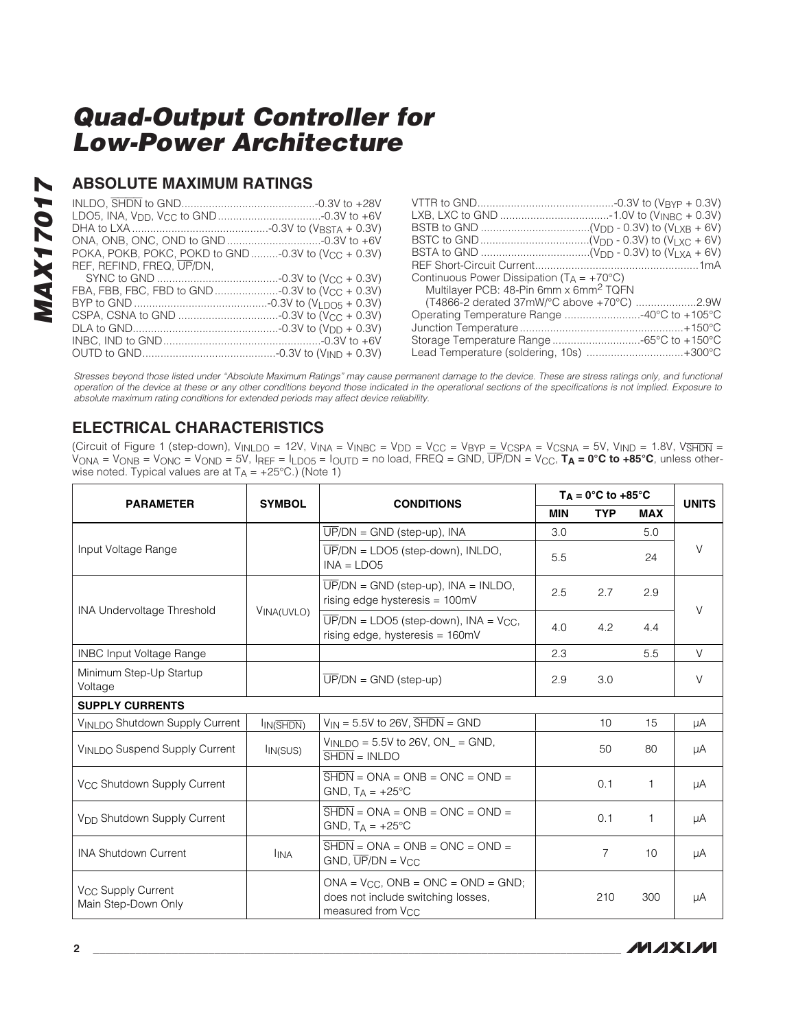### **ABSOLUTE MAXIMUM RATINGS**

| POKA, POKB, POKC, POKD to GND -0.3V to (V <sub>CC</sub> + 0.3V) |  |
|-----------------------------------------------------------------|--|
| REF. REFIND. FREQ. UP/DN.                                       |  |
|                                                                 |  |
|                                                                 |  |
|                                                                 |  |
|                                                                 |  |
|                                                                 |  |
|                                                                 |  |
|                                                                 |  |

| Continuous Power Dissipation $(T_A = +70^{\circ}C)$ |  |
|-----------------------------------------------------|--|
| Multilayer PCB: 48-Pin 6mm x 6mm <sup>2</sup> TQFN  |  |
|                                                     |  |
|                                                     |  |
|                                                     |  |
|                                                     |  |
| Lead Temperature (soldering, 10s) +300°C            |  |

Stresses beyond those listed under "Absolute Maximum Ratings" may cause permanent damage to the device. These are stress ratings only, and functional operation of the device at these or any other conditions beyond those indicated in the operational sections of the specifications is not implied. Exposure to absolute maximum rating conditions for extended periods may affect device reliability.

### **ELECTRICAL CHARACTERISTICS**

(Circuit of Figure 1 (step-down), V<sub>INLDO</sub> = 12V, V<sub>INA</sub> = V<sub>INBC</sub> = V<sub>DD</sub> = V<sub>CC</sub> = V<sub>BYP</sub> <u>= V<sub>CSPA</sub> = V<sub>CSNA</sub> = 5V, V<sub>IND</sub> = 1.8V, V<del>SHDN</del> =</u> VONA = VONB = VONC = VOND = 5V, IREF = ILDO5 = IOUTD = no load, FREQ = GND, UP/DN = VCC, **TA = 0°C to +85°C**, unless otherwise noted. Typical values are at  $T_A = +25^{\circ}C$ .) (Note 1)

| <b>PARAMETER</b>                                      |                        | <b>SYMBOL</b><br><b>CONDITIONS</b>                                                                                               |            | $T_A = 0^\circ C$ to +85 $^\circ C$ |              | <b>UNITS</b> |
|-------------------------------------------------------|------------------------|----------------------------------------------------------------------------------------------------------------------------------|------------|-------------------------------------|--------------|--------------|
|                                                       |                        |                                                                                                                                  | <b>MIN</b> | <b>TYP</b>                          | <b>MAX</b>   |              |
|                                                       |                        | $\overline{UP}/DN = \text{GND}$ (step-up), INA                                                                                   | 3.0        |                                     | 5.0          |              |
| Input Voltage Range                                   |                        | $\overline{UP}/DN = LDO5$ (step-down), INLDO,<br>$INA = LDO5$                                                                    | 5.5        |                                     | 24           | V            |
|                                                       |                        | $\overline{UP}/DN = \text{GND}$ (step-up), INA = INLDO,<br>rising edge hysteresis = 100mV                                        | 2.5        | 2.7                                 | 2.9          | $\vee$       |
| <b>INA Undervoltage Threshold</b>                     | VINA(UVLO)             | $\overline{UP}/DN = LDO5$ (step-down), INA = V <sub>CC</sub> ,<br>rising edge, hysteresis = 160mV                                | 4.0        | 4.2                                 | 4.4          |              |
| <b>INBC Input Voltage Range</b>                       |                        |                                                                                                                                  | 2.3        |                                     | 5.5          | $\vee$       |
| Minimum Step-Up Startup<br>Voltage                    |                        | $UP/DN = GND$ (step-up)                                                                                                          | 2.9        | 3.0                                 |              | V            |
| <b>SUPPLY CURRENTS</b>                                |                        |                                                                                                                                  |            |                                     |              |              |
| VINLDO Shutdown Supply Current                        | I <sub>IN</sub> (SHDN) | $V_{IN}$ = 5.5V to 26V, $\overline{SHDN}$ = GND                                                                                  |            | 10                                  | 15           | μA           |
| VINLDO Suspend Supply Current                         | IIN(SUS)               | $V_{INLDO} = 5.5V$ to 26V, $ON_{-} = GND$ ,<br>$\overline{\text{SHDN}} = \text{INLDO}$                                           |            | 50                                  | 80           | μA           |
| V <sub>CC</sub> Shutdown Supply Current               |                        | $\overline{\text{SHDN}}$ = ONA = ONB = ONC = OND =<br>GND, $T_A = +25^{\circ}C$                                                  |            | 0.1                                 | $\mathbf{1}$ | μA           |
| V <sub>DD</sub> Shutdown Supply Current               |                        | $\overline{\text{SHDN}} = \text{ONA} = \text{ONB} = \text{ONC} = \text{OND} =$<br>GND, $T_A = +25^{\circ}C$                      |            | 0.1                                 | $\mathbf{1}$ | μA           |
| <b>INA Shutdown Current</b>                           | <b>I</b> INA           | $\overline{\text{SHDN}} = \text{ONA} = \text{ONB} = \text{ONC} = \text{OND} =$<br>$GND$ , $\overline{UP}/DN = \overline{V_{CC}}$ |            | $\overline{7}$                      | 10           | μA           |
| V <sub>CC</sub> Supply Current<br>Main Step-Down Only |                        | $ONA = V_{CC}$ , $ONB = ONC = OND = GND$ ;<br>does not include switching losses,<br>measured from V <sub>CC</sub>                |            | 210                                 | 300          | μA           |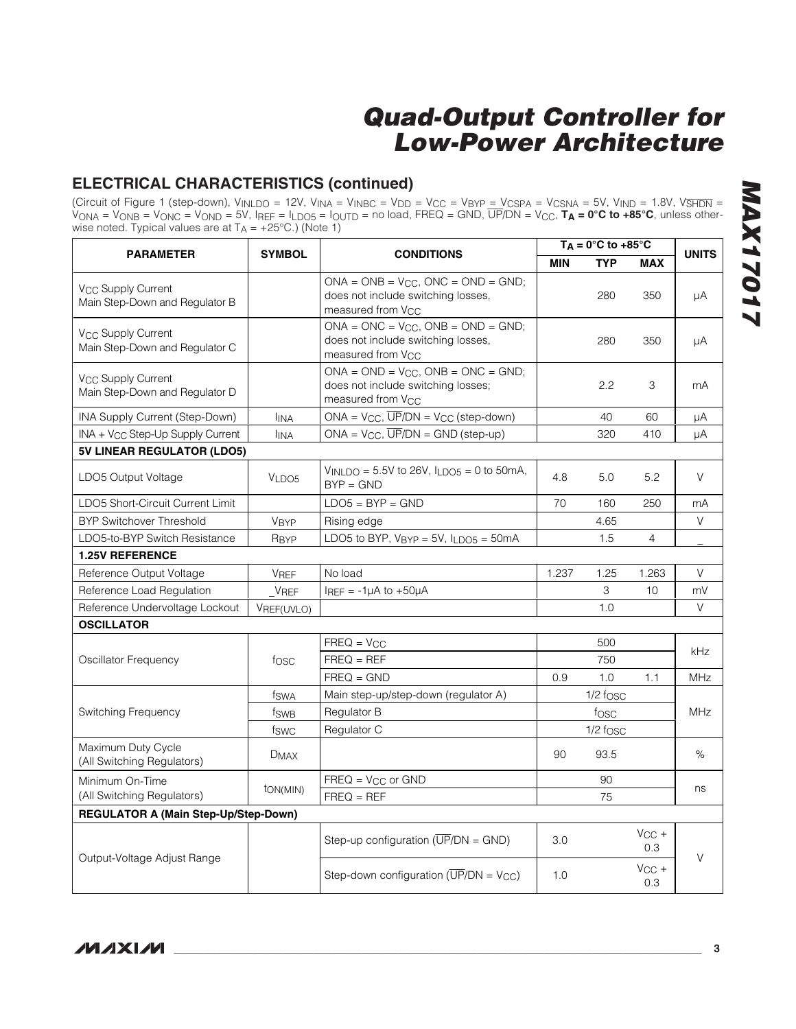### **ELECTRICAL CHARACTERISTICS (continued)**

(Circuit of Figure 1 (step-down), V<sub>INLDO</sub> = 12V, V<sub>INA</sub> = V<sub>INBC</sub> = V<sub>DD</sub> = V<sub>CC</sub> = V<sub>BYP</sub> <u>= V<sub>CSPA</sub> = V<sub>CSNA</sub> = 5V, V<sub>IND</sub> = 1.8V, V<del>SHDN</del> =</u> VONA = VONB = VONC = VOND = 5V, IREF = ILDO5 = IOUTD = no load, FREQ = GND, UP/DN = VCC, **TA = 0°C to +85°C**, unless otherwise noted. Typical values are at  $T_A = +25^{\circ}C$ .) (Note 1)

| <b>PARAMETER</b>                                                 | <b>SYMBOL</b>                         |                                                                                                                   | $T_A = 0^\circ \text{C}$ to +85°C<br><b>CONDITIONS</b> |            |                   | <b>UNITS</b> |
|------------------------------------------------------------------|---------------------------------------|-------------------------------------------------------------------------------------------------------------------|--------------------------------------------------------|------------|-------------------|--------------|
|                                                                  |                                       |                                                                                                                   | <b>MIN</b>                                             | <b>TYP</b> | <b>MAX</b>        |              |
| V <sub>CC</sub> Supply Current<br>Main Step-Down and Regulator B |                                       | $ONA = ONB = V_{CC}$ , $ONC = OND = GND$ ;<br>does not include switching losses,<br>measured from V <sub>CC</sub> |                                                        | 280        | 350               | μA           |
| V <sub>CC</sub> Supply Current<br>Main Step-Down and Regulator C |                                       | $ONA = ONC = V_{CC}$ , $ONB = OND = GND$ ;<br>does not include switching losses,<br>measured from V <sub>CC</sub> |                                                        | 280        | 350               | μA           |
| V <sub>CC</sub> Supply Current<br>Main Step-Down and Regulator D |                                       | $ONA = OND = V_{CC}$ , $ONB = ONC = GND$ ;<br>does not include switching losses;<br>measured from V <sub>CC</sub> |                                                        | 2.2        | 3                 | mA           |
| INA Supply Current (Step-Down)                                   | <b>I</b> INA                          | $ONA = V_{CC}$ , $\overline{UP}/DN = V_{CC}$ (step-down)                                                          |                                                        | 40         | 60                | μA           |
| INA + V <sub>CC</sub> Step-Up Supply Current                     | <b>I</b> INA                          | ONA = $V_{CC}$ , $\overline{UP}/DN$ = GND (step-up)                                                               |                                                        | 320        | 410               | μA           |
| 5V LINEAR REGULATOR (LDO5)                                       |                                       |                                                                                                                   |                                                        |            |                   |              |
| LDO5 Output Voltage                                              | VLDO5                                 | $V_{INLDO} = 5.5V$ to 26V, $I_{LDO5} = 0$ to 50mA,<br>$BYP = GND$                                                 | 4.8                                                    | 5.0        | 5.2               | V            |
| LDO5 Short-Circuit Current Limit                                 |                                       | $LDO5 = BYP = GND$                                                                                                | 70                                                     | 160        | 250               | mA           |
| <b>BYP Switchover Threshold</b>                                  | <b>V<sub>BYP</sub></b>                | Rising edge                                                                                                       |                                                        | 4.65       |                   | V            |
| LDO5-to-BYP Switch Resistance                                    | R <sub>BYP</sub>                      | LDO5 to BYP, $V_{BYP} = 5V$ , $I_{LDOS} = 50mA$                                                                   |                                                        | 1.5        | 4                 |              |
| <b>1.25V REFERENCE</b>                                           |                                       |                                                                                                                   |                                                        |            |                   |              |
| Reference Output Voltage                                         | <b>VREF</b>                           | No load                                                                                                           | 1.237                                                  | 1.25       | 1.263             | V            |
| Reference Load Regulation                                        | <b>VREF</b>                           | $I_{REF}$ = -1µA to +50µA                                                                                         |                                                        | 3          | 10                | mV           |
| Reference Undervoltage Lockout                                   | VREF(UVLO)                            |                                                                                                                   |                                                        | 1.0        |                   | V            |
| <b>OSCILLATOR</b>                                                |                                       |                                                                                                                   |                                                        |            |                   |              |
|                                                                  |                                       | $FREQ = V_{CC}$                                                                                                   |                                                        | 500        |                   | kHz          |
| Oscillator Frequency                                             | fosc                                  | $FREQ = REF$                                                                                                      | 750                                                    |            |                   |              |
|                                                                  |                                       | $FREG = GND$                                                                                                      | 0.9                                                    | 1.0        | 1.1               | <b>MHz</b>   |
|                                                                  | fswa                                  | Main step-up/step-down (regulator A)                                                                              |                                                        | $1/2$ fosc |                   |              |
| Switching Frequency                                              | fsw <sub>B</sub>                      | Regulator B                                                                                                       |                                                        | fosc       |                   | <b>MHz</b>   |
|                                                                  | fswc                                  | Regulator C                                                                                                       |                                                        | $1/2$ fosc |                   |              |
| Maximum Duty Cycle<br>(All Switching Regulators)                 | <b>DMAX</b>                           |                                                                                                                   | 90                                                     | 93.5       |                   | %            |
| Minimum On-Time                                                  |                                       | $FREQ = V_{CC}$ or $GND$                                                                                          |                                                        | 90         |                   |              |
| (All Switching Regulators)                                       | t <sub>ON</sub> (MIN)<br>$FREQ = REF$ |                                                                                                                   |                                                        | 75         |                   | ns           |
| <b>REGULATOR A (Main Step-Up/Step-Down)</b>                      |                                       |                                                                                                                   |                                                        |            |                   |              |
|                                                                  |                                       | Step-up configuration $(\overline{UP}/DN = \text{GND})$                                                           | 3.0                                                    |            | $V_{CC}$ +<br>0.3 | $\vee$       |
| Output-Voltage Adjust Range                                      |                                       | Step-down configuration ( $\overline{UP}/DN = V_{CC}$ )                                                           | 1.0                                                    |            | $V_{CC}$ +<br>0.3 |              |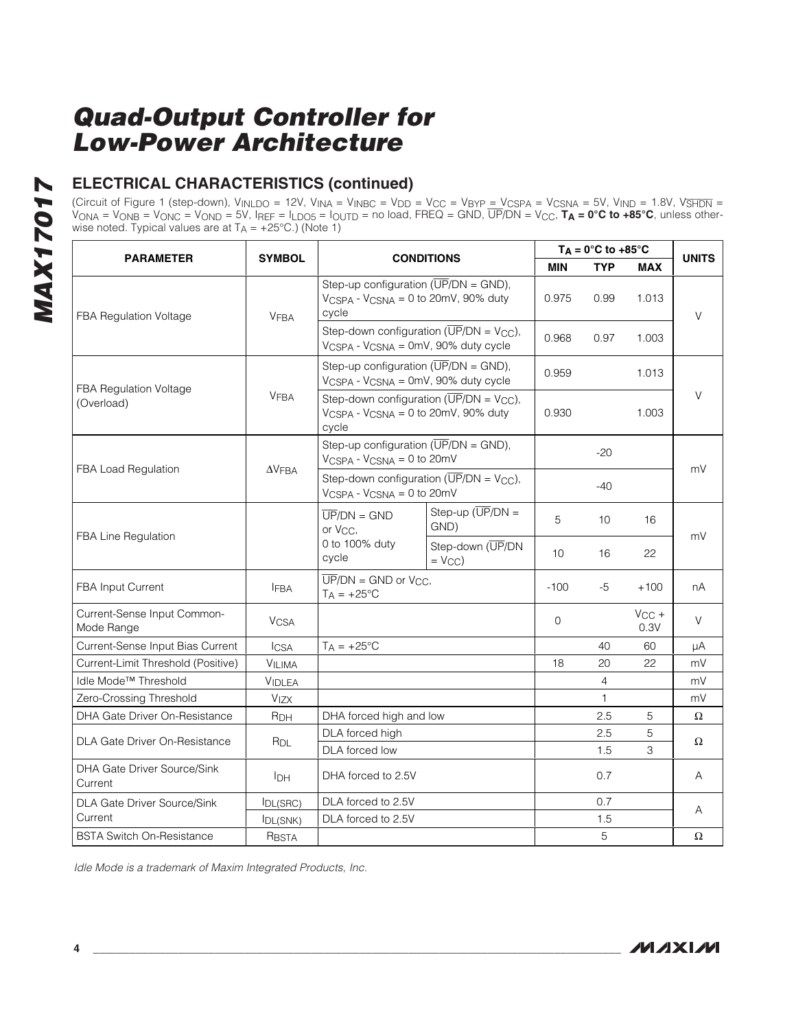# **ELECTRICAL CHARACTERISTICS (continued)**

(Circuit of Figure 1 (step-down), V<sub>INLDO</sub> = 12V, V<sub>INA</sub> = V<sub>INBC</sub> = V<sub>DD</sub> = V<sub>CC</sub> = V<sub>BYP</sub> <u>= V<sub>CSPA</sub> = V<sub>CSNA</sub> = 5V, V<sub>IND</sub> = 1.8V, V<del>SHDN</del> =</u> VONA = VONB = VONC = VOND = 5V, IREF = ILDO5 = IOUTD = no load, FREQ = GND, UP/DN = VCC, **TA = 0°C to +85°C**, unless otherwise noted. Typical values are at  $T_A = +25^{\circ}$ C.) (Note 1)

|                                           |                        | <b>CONDITIONS</b>                                                                                           |                                                                                                            |              | $T_A = 0^\circ C$ to +85 $^\circ C$ |                    | <b>UNITS</b> |
|-------------------------------------------|------------------------|-------------------------------------------------------------------------------------------------------------|------------------------------------------------------------------------------------------------------------|--------------|-------------------------------------|--------------------|--------------|
| <b>PARAMETER</b>                          | <b>SYMBOL</b>          |                                                                                                             |                                                                                                            | <b>MIN</b>   | <b>TYP</b>                          | <b>MAX</b>         |              |
| FBA Regulation Voltage                    | <b>VFBA</b>            | cycle                                                                                                       | Step-up configuration $(\overline{UP}/DN = \text{GND})$ ,<br>$V_{CSPA}$ - $V_{CSNA}$ = 0 to 20mV, 90% duty |              | 0.99                                | 1.013              | $\vee$       |
|                                           |                        | VCSPA - VCSNA = 0mV, 90% duty cycle                                                                         | Step-down configuration ( $\overline{UP}/DN = V_{CC}$ ),                                                   | 0.968        | 0.97                                | 1.003              |              |
| FBA Regulation Voltage<br>(Overload)      |                        | Step-up configuration ( $\overline{UP}/DN = \text{GND}$ ),<br>$V_{CSPA}$ - $V_{CSNA}$ = 0mV, 90% duty cycle |                                                                                                            | 0.959        |                                     | 1.013              |              |
|                                           | <b>VFBA</b>            | VCSPA - VCSNA = 0 to 20mV, 90% duty<br>cycle                                                                | Step-down configuration ( $\overline{UP}/DN = V_{CC}$ ),                                                   | 0.930        |                                     | 1.003              | V            |
| FBA Load Regulation                       |                        | Step-up configuration ( $\overline{UP}/DN = \text{GND}$ ),<br>VCSPA - VCSNA = 0 to 20mV                     |                                                                                                            |              | $-20$                               |                    | mV           |
|                                           | $\Delta V$ FBA         | Step-down configuration ( $\overline{UP}/DN = V_{CC}$ ),<br>$V_{CSPA}$ - $V_{CSNA}$ = 0 to 20mV             |                                                                                                            |              | $-40$                               |                    |              |
| FBA Line Regulation                       |                        | $\overline{UP}/DN = GND$<br>or V <sub>CC</sub> ,                                                            | Step-up $(\overline{UP}/DN =$<br>GND)                                                                      | 5            | 10                                  | 16                 | mV           |
|                                           |                        | 0 to 100% duty<br>cycle                                                                                     | Step-down (UP/DN<br>$=$ $V_{CC}$ )                                                                         | 10           | 16                                  | 22                 |              |
| <b>FBA Input Current</b>                  | <b>IFBA</b>            | $\overline{UP}/DN = \text{GND}$ or $V_{CC}$ ,<br>$T_A = +25^{\circ}C$                                       |                                                                                                            | $-100$       | -5                                  | $+100$             | nA           |
| Current-Sense Input Common-<br>Mode Range | <b>V<sub>CSA</sub></b> |                                                                                                             |                                                                                                            | $\mathbf{0}$ |                                     | $V_{CC}$ +<br>0.3V | $\vee$       |
| Current-Sense Input Bias Current          | <b>ICSA</b>            | $T_A = +25$ °C                                                                                              |                                                                                                            |              | 40                                  | 60                 | μA           |
| Current-Limit Threshold (Positive)        | VILIMA                 |                                                                                                             |                                                                                                            | 18           | 20                                  | 22                 | mV           |
| Idle Mode <sup>™</sup> Threshold          | <b>VIDLEA</b>          |                                                                                                             |                                                                                                            |              | $\overline{4}$                      |                    | mV           |
| Zero-Crossing Threshold                   | <b>V<sub>IZX</sub></b> |                                                                                                             |                                                                                                            |              | 1                                   |                    | mV           |
| DHA Gate Driver On-Resistance             | R <sub>DH</sub>        | DHA forced high and low                                                                                     |                                                                                                            |              | 2.5                                 | 5                  | Ω            |
| DLA Gate Driver On-Resistance             | R <sub>DL</sub>        | DLA forced high                                                                                             |                                                                                                            |              | 2.5                                 | 5                  | Ω            |
|                                           |                        | DLA forced low                                                                                              |                                                                                                            |              | 1.5                                 | 3                  |              |
| DHA Gate Driver Source/Sink<br>Current    | <b>I</b> DH            | DHA forced to 2.5V                                                                                          |                                                                                                            |              | 0.7                                 |                    | A            |
| <b>DLA Gate Driver Source/Sink</b>        | <b>IDL(SRC)</b>        | DLA forced to 2.5V                                                                                          |                                                                                                            |              | 0.7                                 |                    | Α            |
| Current                                   | <b>IDL(SNK)</b>        | DLA forced to 2.5V                                                                                          |                                                                                                            |              | 1.5                                 |                    |              |
| <b>BSTA Switch On-Resistance</b>          | RBSTA                  |                                                                                                             |                                                                                                            |              | 5                                   |                    | Ω            |

Idle Mode is a trademark of Maxim Integrated Products, Inc.

**MAX17017**

**MAX17017**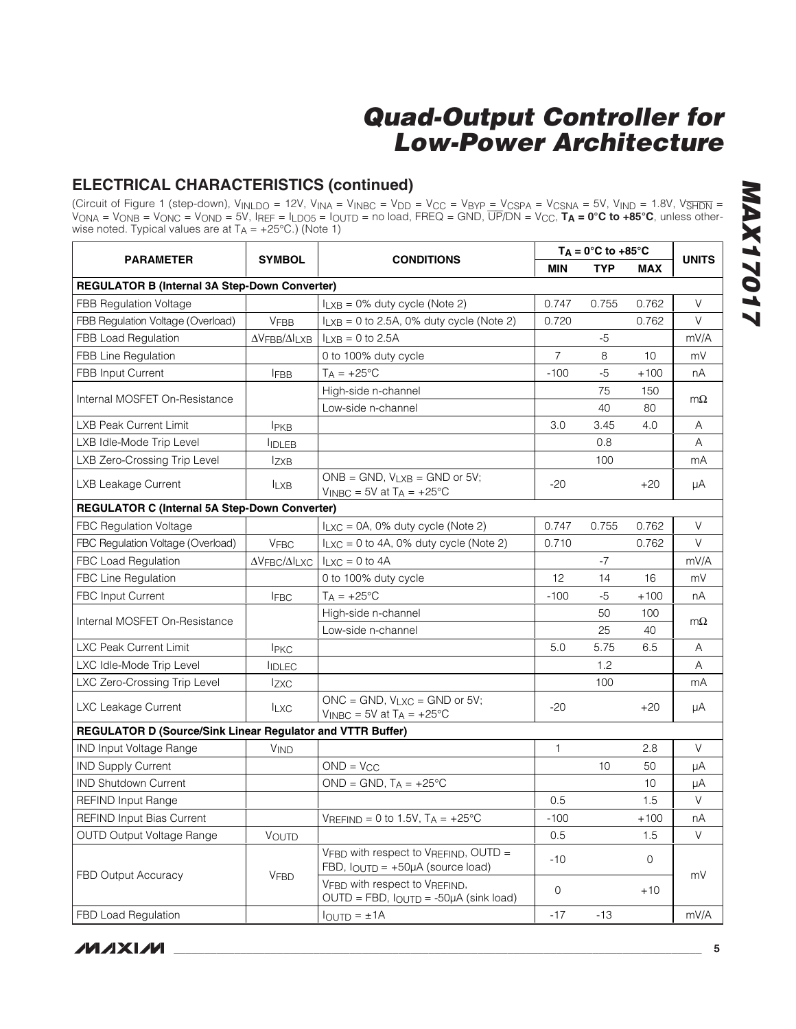### **ELECTRICAL CHARACTERISTICS (continued)**

(Circuit of Figure 1 (step-down), V<sub>INLDO</sub> = 12V, V<sub>INA</sub> = V<sub>INBC</sub> = V<sub>DD</sub> = V<sub>CC</sub> = V<sub>BYP</sub> <u>= V<sub>CSPA</sub> = V<sub>CSNA</sub> = 5V, V<sub>IND</sub> = 1.8V, V<del>SHDN</del> =</u> VONA = VONB = VONC = VOND = 5V, IREF = ILDO5 = IOUTD = no load, FREQ = GND, UP/DN = VCC, **TA = 0°C to +85°C**, unless otherwise noted. Typical values are at  $T_A = +25^{\circ}$ C.) (Note 1)

|                                                            | <b>SYMBOL</b><br><b>CONDITIONS</b>                        |                                                                                          |                | $T_A = 0^\circ C$ to +85 $^\circ C$ |        |              |  |
|------------------------------------------------------------|-----------------------------------------------------------|------------------------------------------------------------------------------------------|----------------|-------------------------------------|--------|--------------|--|
| <b>PARAMETER</b>                                           |                                                           |                                                                                          | <b>MIN</b>     | <b>TYP</b>                          | MAX    | <b>UNITS</b> |  |
| <b>REGULATOR B (Internal 3A Step-Down Converter)</b>       |                                                           |                                                                                          |                |                                     |        |              |  |
| FBB Regulation Voltage                                     |                                                           | $I_{LXB} = 0\%$ duty cycle (Note 2)                                                      | 0.747          | 0.755                               | 0.762  | V            |  |
| FBB Regulation Voltage (Overload)                          | <b>VFBB</b>                                               | $I_{LXB}$ = 0 to 2.5A, 0% duty cycle (Note 2)                                            | 0.720          |                                     | 0.762  | V            |  |
| <b>FBB Load Regulation</b>                                 | $\Delta \mathrm{V}$ FBB/ $\Delta \mathrm{I}_\mathrm{LXB}$ | $I_{LXB} = 0$ to 2.5A                                                                    |                | $-5$                                |        | mV/A         |  |
| <b>FBB Line Regulation</b>                                 |                                                           | 0 to 100% duty cycle                                                                     | $\overline{7}$ | 8                                   | 10     | mV           |  |
| <b>FBB Input Current</b>                                   | <b>IFBB</b>                                               | $T_A = +25$ °C                                                                           | $-100$         | -5                                  | $+100$ | nА           |  |
| Internal MOSFET On-Resistance                              |                                                           | High-side n-channel                                                                      |                | 75                                  | 150    | $m\Omega$    |  |
|                                                            |                                                           | Low-side n-channel                                                                       |                | 40                                  | 80     |              |  |
| LXB Peak Current Limit                                     | <b>IPKB</b>                                               |                                                                                          | 3.0            | 3.45                                | 4.0    | A            |  |
| LXB Idle-Mode Trip Level                                   | <b>IDLEB</b>                                              |                                                                                          |                | 0.8                                 |        | A            |  |
| LXB Zero-Crossing Trip Level                               | <b>IzxB</b>                                               |                                                                                          |                | 100                                 |        | mA           |  |
| <b>LXB Leakage Current</b>                                 | <b>ILXB</b>                                               | $ONE = GND$ , $V_{LXB} = GND$ or 5V;<br>$V_{\text{INBC}} = 5V$ at T <sub>A</sub> = +25°C | $-20$          |                                     | $+20$  | μA           |  |
| <b>REGULATOR C (Internal 5A Step-Down Converter)</b>       |                                                           |                                                                                          |                |                                     |        |              |  |
| <b>FBC Regulation Voltage</b>                              |                                                           | $I_{LXC} = 0A$ , 0% duty cycle (Note 2)                                                  | 0.747          | 0.755                               | 0.762  | V            |  |
| FBC Regulation Voltage (Overload)                          | <b>VFBC</b>                                               | $I_{LXC} = 0$ to 4A, 0% duty cycle (Note 2)                                              | 0.710          |                                     | 0.762  | V            |  |
| FBC Load Regulation                                        | $\Delta V$ FBC/ $\Delta I$ LXC                            | $I_{LXC} = 0$ to 4A                                                                      |                | $-7$                                |        | mV/A         |  |
| <b>FBC Line Regulation</b>                                 |                                                           | 0 to 100% duty cycle                                                                     | 12             | 14                                  | 16     | mV           |  |
| <b>FBC Input Current</b>                                   | <b>IFBC</b>                                               | $T_A = +25^{\circ}C$                                                                     | $-100$         | -5                                  | $+100$ | nA           |  |
| Internal MOSFET On-Resistance                              |                                                           | High-side n-channel                                                                      |                | 50                                  | 100    | $m\Omega$    |  |
|                                                            |                                                           | Low-side n-channel                                                                       |                | 25                                  | 40     |              |  |
| <b>LXC Peak Current Limit</b>                              | <b>IPKC</b>                                               |                                                                                          | 5.0            | 5.75                                | 6.5    | Α            |  |
| LXC Idle-Mode Trip Level                                   | <b>IDLEC</b>                                              |                                                                                          |                | 1.2                                 |        | Α            |  |
| LXC Zero-Crossing Trip Level                               | <b>Izxc</b>                                               |                                                                                          |                | 100                                 |        | mA           |  |
| LXC Leakage Current                                        | <b>ILXC</b>                                               | ONC = GND, $V_{LXC}$ = GND or 5V;<br>$V_{INBC}$ = 5V at T <sub>A</sub> = +25°C           | $-20$          |                                     | $+20$  | μA           |  |
| REGULATOR D (Source/Sink Linear Regulator and VTTR Buffer) |                                                           |                                                                                          |                |                                     |        |              |  |
| <b>IND Input Voltage Range</b>                             | <b>VIND</b>                                               |                                                                                          | $\mathbf{1}$   |                                     | 2.8    | V            |  |
| <b>IND Supply Current</b>                                  |                                                           | $OND = VCC$                                                                              |                | 10                                  | 50     | μA           |  |
| <b>IND Shutdown Current</b>                                |                                                           | $OND = GND$ , $TA = +25°C$                                                               |                |                                     | 10     | μA           |  |
| <b>REFIND Input Range</b>                                  |                                                           |                                                                                          | 0.5            |                                     | 1.5    | V            |  |
| <b>REFIND Input Bias Current</b>                           |                                                           | VREFIND = 0 to 1.5V, $T_A$ = +25°C                                                       | $-100$         |                                     | $+100$ | nА           |  |
| <b>OUTD Output Voltage Range</b>                           | VOUTD                                                     |                                                                                          | 0.5            |                                     | 1.5    | V            |  |
| <b>FBD Output Accuracy</b>                                 | <b>VFBD</b>                                               | VFBD with respect to VREFIND, OUTD =<br>FBD, $I_{\text{OUTD}} = +50\mu A$ (source load)  | $-10$          |                                     | 0      | mV           |  |
|                                                            |                                                           | VFBD with respect to VREFIND,<br>$OUTD = FBD$ , $I_{OUTD} = -50\mu A$ (sink load)        | $\mathbf 0$    |                                     | $+10$  |              |  |
| <b>FBD Load Regulation</b>                                 |                                                           | $I_{\text{OUTD}} = \pm 1$ A                                                              | $-17$          | $-13$                               |        | mV/A         |  |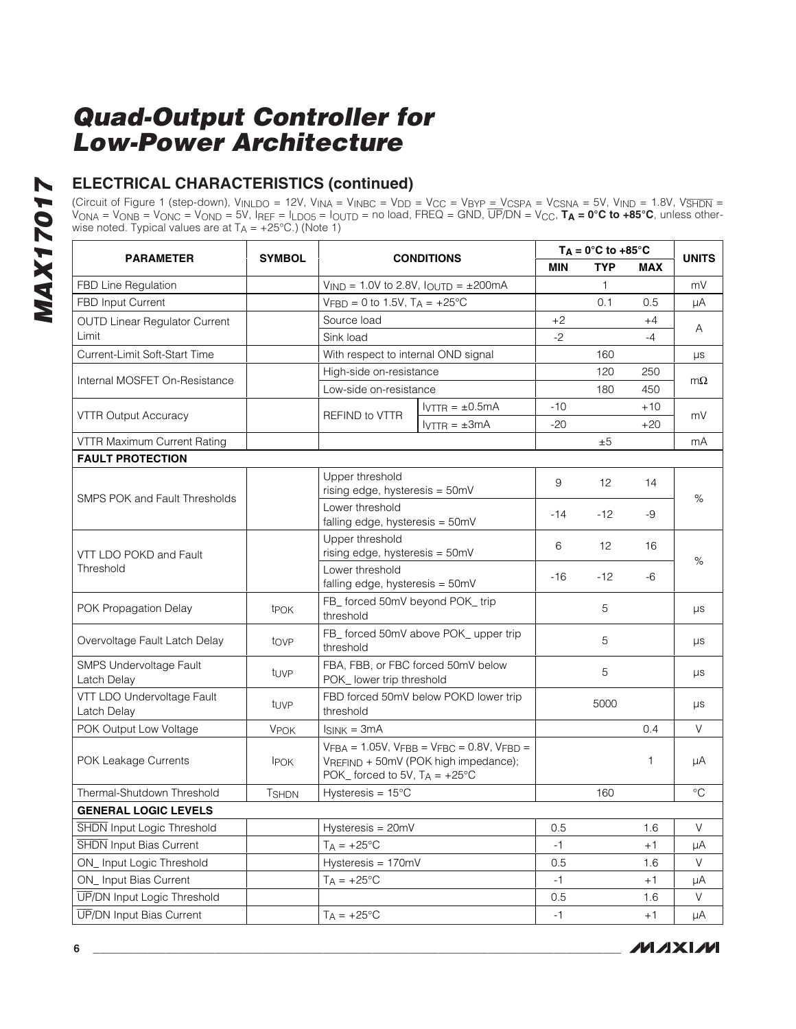# **ELECTRICAL CHARACTERISTICS (continued)**

(Circuit of Figure 1 (step-down), V<sub>INLDO</sub> = 12V, V<sub>INA</sub> = V<sub>INBC</sub> = V<sub>DD</sub> = V<sub>CC</sub> = V<sub>BYP</sub> <u>= V<sub>CSPA</sub> = V<sub>CSNA</sub> = 5V, V<sub>IND</sub> = 1.8V, V<del>SHDN</del> =</u> VONA = VONB = VONC = VOND = 5V, IREF = ILDO5 = IOUTD = no load, FREQ = GND, UP/DN = VCC, **TA = 0°C to +85°C**, unless otherwise noted. Typical values are at  $T_A = +25^{\circ}$ C.) (Note 1)

| <b>SYMBOL</b><br><b>PARAMETER</b><br><b>CONDITIONS</b> |                        |                                                                                                                                     |                                                                        | $T_A = 0^\circ C$ to +85 $^\circ C$ |       |       | <b>UNITS</b> |
|--------------------------------------------------------|------------------------|-------------------------------------------------------------------------------------------------------------------------------------|------------------------------------------------------------------------|-------------------------------------|-------|-------|--------------|
|                                                        |                        |                                                                                                                                     |                                                                        |                                     |       | MAX   |              |
| FBD Line Regulation                                    |                        |                                                                                                                                     | $V_{\text{IND}} = 1.0V$ to 2.8V, $I_{\text{OUTD}} = \pm 200 \text{mA}$ |                                     | 1     |       | mV           |
| FBD Input Current                                      |                        | $VFBD = 0$ to 1.5V, $T_A = +25$ °C                                                                                                  |                                                                        |                                     | 0.1   | 0.5   | μA           |
| <b>OUTD Linear Regulator Current</b>                   |                        | Source load                                                                                                                         |                                                                        | $+2$                                |       | +4    | A            |
| Limit                                                  |                        | Sink load                                                                                                                           |                                                                        | $-2$                                |       | $-4$  |              |
| Current-Limit Soft-Start Time                          |                        | With respect to internal OND signal                                                                                                 |                                                                        |                                     | 160   |       | μs           |
| Internal MOSFET On-Resistance                          |                        | High-side on-resistance                                                                                                             |                                                                        |                                     | 120   | 250   | $m\Omega$    |
|                                                        |                        | Low-side on-resistance                                                                                                              |                                                                        |                                     | 180   | 450   |              |
|                                                        |                        | REFIND to VTTR                                                                                                                      | $IVTTR = ±0.5mA$                                                       | $-10$                               |       | $+10$ | mV           |
| <b>VTTR Output Accuracy</b>                            |                        |                                                                                                                                     | $IVTTR = ±3mA$                                                         | $-20$                               |       | $+20$ |              |
| VTTR Maximum Current Rating                            |                        |                                                                                                                                     |                                                                        |                                     | ±5    |       | mA           |
| <b>FAULT PROTECTION</b>                                |                        |                                                                                                                                     |                                                                        |                                     |       |       |              |
|                                                        |                        | Upper threshold<br>rising edge, hysteresis = 50mV                                                                                   |                                                                        | 9                                   | 12    | 14    |              |
| <b>SMPS POK and Fault Thresholds</b>                   |                        | Lower threshold<br>falling edge, hysteresis = 50mV                                                                                  |                                                                        | $-14$                               | $-12$ | -9    | %            |
| VTT LDO POKD and Fault                                 |                        | Upper threshold<br>rising edge, hysteresis = 50mV<br>Lower threshold<br>falling edge, hysteresis = 50mV                             |                                                                        | 6                                   | 12    | 16    |              |
| Threshold                                              |                        |                                                                                                                                     |                                                                        | $-16$                               | $-12$ | -6    | %            |
| POK Propagation Delay                                  | <b>t</b> POK           | FB_ forced 50mV beyond POK_trip<br>threshold                                                                                        |                                                                        |                                     | 5     |       | μs           |
| Overvoltage Fault Latch Delay                          | tove                   | threshold                                                                                                                           | FB_forced 50mV above POK_upper trip                                    |                                     | 5     |       | μs           |
| SMPS Undervoltage Fault<br>Latch Delay                 | t <sub>UVP</sub>       | POK_ lower trip threshold                                                                                                           | FBA, FBB, or FBC forced 50mV below                                     |                                     | 5     |       | μs           |
| VTT LDO Undervoltage Fault<br>Latch Delay              | tuvp                   | threshold                                                                                                                           | FBD forced 50mV below POKD lower trip                                  |                                     | 5000  |       | μs           |
| POK Output Low Voltage                                 | <b>V<sub>POK</sub></b> | $I_{SINK} = 3mA$                                                                                                                    |                                                                        |                                     |       | 0.4   | V            |
| POK Leakage Currents                                   | <b>IPOK</b>            | $VFBA = 1.05V$ , $VFBB = VFBC = 0.8V$ , $VFBD =$<br>VREFIND + 50mV (POK high impedance);<br>POK_ forced to 5V, $T_A = +25^{\circ}C$ |                                                                        |                                     |       | 1     | μA           |
| Thermal-Shutdown Threshold                             | <b>TSHDN</b>           | Hysteresis = $15^{\circ}$ C                                                                                                         |                                                                        |                                     | 160   |       | $^{\circ}C$  |
| <b>GENERAL LOGIC LEVELS</b>                            |                        |                                                                                                                                     |                                                                        |                                     |       |       |              |
| <b>SHDN</b> Input Logic Threshold                      |                        | Hysteresis = 20mV                                                                                                                   |                                                                        | $0.5\,$                             |       | 1.6   | $\mathsf V$  |
| <b>SHDN</b> Input Bias Current                         |                        | $T_A = +25$ °C                                                                                                                      |                                                                        | -1                                  |       | +1    | μA           |
| ON_Input Logic Threshold                               |                        | Hysteresis = 170mV                                                                                                                  |                                                                        | 0.5                                 |       | 1.6   | V            |
| ON_Input Bias Current                                  |                        | $T_A = +25$ °C                                                                                                                      |                                                                        | $-1$                                |       | $+1$  | μA           |
| UP/DN Input Logic Threshold                            |                        |                                                                                                                                     |                                                                        | 0.5                                 |       | 1.6   | V            |
| <b>UP/DN Input Bias Current</b>                        |                        | $T_A = +25$ °C                                                                                                                      |                                                                        | $-1$                                |       | $+1$  | μA           |

**MAXM**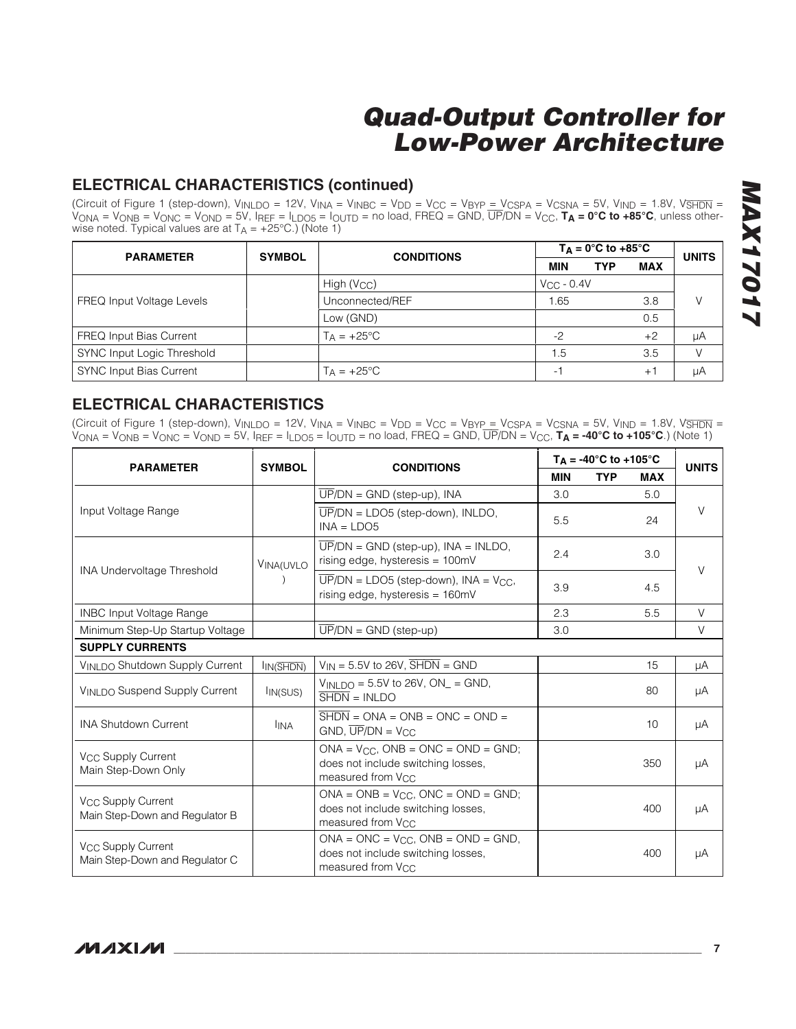### **ELECTRICAL CHARACTERISTICS (continued)**

(Circuit of Figure 1 (step-down),  $V_{INLDO} = 12V$ ,  $V_{INAC} = V_{INBC} = V_{DD} = V_{CC} = V_{BYP} = V_{CSPA} = V_{CSNA} = 5V$ ,  $V_{IND} = 1.8V$ ,  $V_{SHDN} =$ VONA = VONB = VONC = VOND = 5V, IREF = ILDO5 = IOUTD = no load, FREQ = GND, UP/DN = VCC, **TA = 0°C to +85°C**, unless otherwise noted. Typical values are at  $T_A = +25^{\circ}C$ .) (Note 1)

| <b>PARAMETER</b>                  | <b>SYMBOL</b> | <b>CONDITIONS</b>       | $T_A = 0^\circ C$ to +85 $^\circ C$ |                 |            | <b>UNITS</b> |
|-----------------------------------|---------------|-------------------------|-------------------------------------|-----------------|------------|--------------|
|                                   |               |                         | <b>MIN</b>                          | <b>TYP</b>      | <b>MAX</b> |              |
| <b>FREQ Input Voltage Levels</b>  |               | High (V <sub>CC</sub> ) |                                     | $V_{CC}$ - 0.4V |            |              |
|                                   |               | Unconnected/REF         | 1.65                                |                 | 3.8        | V            |
|                                   |               | Low (GND)               |                                     |                 | 0.5        |              |
| <b>FREQ Input Bias Current</b>    |               | $T_A = +25^{\circ}C$    | $-2$                                |                 | $+2$       | μA           |
| <b>SYNC Input Logic Threshold</b> |               |                         | 1.5                                 |                 | 3.5        |              |
| <b>SYNC Input Bias Current</b>    |               | $T_A = +25^{\circ}C$    | $\overline{\phantom{a}}$            |                 | $+1$       | μA           |

### **ELECTRICAL CHARACTERISTICS**

(Circuit of Figure 1 (step-down),  $V_{INLDO} = 12V$ ,  $V_{INAC} = V_{INBC} = V_{DD} = V_{CC} = V_{BYP} = V_{CSPA} = V_{CSNA} = 5V$ ,  $V_{IND} = 1.8V$ ,  $V_{SHDN} =$ VONA = VONB = VONC = VOND = 5V, IREF = ILDO5 = IOUTD = no load, FREQ = GND, UP/DN = VCC, **TA = -40°C to +105°C**.) (Note 1)

|                                                                  | <b>SYMBOL</b><br><b>CONDITIONS</b> |                                                                                                                       |            | $T_A = -40^{\circ}C$ to $+105^{\circ}C$ |                 |              |
|------------------------------------------------------------------|------------------------------------|-----------------------------------------------------------------------------------------------------------------------|------------|-----------------------------------------|-----------------|--------------|
| <b>PARAMETER</b>                                                 |                                    |                                                                                                                       | <b>MIN</b> | <b>TYP</b>                              | <b>MAX</b>      | <b>UNITS</b> |
|                                                                  |                                    | $\overline{UP}/DN = \text{GND}$ (step-up), INA                                                                        | 3.0        |                                         | 5.0             |              |
| Input Voltage Range                                              |                                    | $\overline{UP}/DN = LDO5$ (step-down), INLDO,<br>$INA = LDO5$                                                         | 5.5        |                                         | 24              | $\vee$       |
|                                                                  | <b>VINA(UVLO</b>                   | $\overline{UP}/DN = \text{GND}$ (step-up), INA = INLDO,<br>rising edge, hysteresis = $100mV$                          | 2.4        |                                         | 3.0             | $\vee$       |
| <b>INA Undervoltage Threshold</b>                                |                                    | $\overline{UP}/DN = LDO5$ (step-down), $INA = V_{CC}$ .<br>rising edge, hysteresis = 160mV                            | 3.9        |                                         | 4.5             |              |
| <b>INBC Input Voltage Range</b>                                  |                                    |                                                                                                                       | 2.3        |                                         | 5.5             | $\vee$       |
| Minimum Step-Up Startup Voltage                                  |                                    | $\overline{UP}/DN = \overline{GND}$ (step-up)                                                                         | 3.0        |                                         |                 | $\vee$       |
| <b>SUPPLY CURRENTS</b>                                           |                                    |                                                                                                                       |            |                                         |                 |              |
| VINLDO Shutdown Supply Current                                   | I <sub>IN</sub> (SHDN)             | $V_{IN} = 5.5V$ to 26V, $\overline{SHDN} = \text{GND}$                                                                |            |                                         | 15              | μA           |
| VINLDO Suspend Supply Current                                    | IIN(SUS)                           | $V_{INI}$ DO = 5.5V to 26V, ON = GND,<br>$\overline{\text{SHDN}} = \text{INLDO}$                                      |            |                                         | 80              | μA           |
| <b>INA Shutdown Current</b>                                      | <b>I</b> INA                       | $\overline{\text{SHDN}} = \text{ONA} = \text{ONB} = \text{ONC} = \text{OND} =$<br>$GND$ , $\overline{UP}/DN = V_{CC}$ |            |                                         | 10 <sup>1</sup> | μA           |
| V <sub>CC</sub> Supply Current<br>Main Step-Down Only            |                                    | $ONA = V_{CC}$ , $ONB = ONC = OND = GND$ ;<br>does not include switching losses,<br>measured from V <sub>CC</sub>     |            |                                         | 350             | μA           |
| V <sub>CC</sub> Supply Current<br>Main Step-Down and Regulator B |                                    | $ONA = ONB = V_{CC}$ , $ONC = OND = GND$ ;<br>does not include switching losses,<br>measured from V <sub>CC</sub>     |            |                                         | 400             | μA           |
| V <sub>CC</sub> Supply Current<br>Main Step-Down and Regulator C |                                    | $ONA = ONC = V_{CC}$ , $ONB = OND = GND$ ,<br>does not include switching losses.<br>measured from V <sub>CC</sub>     |            |                                         | 400             | μA           |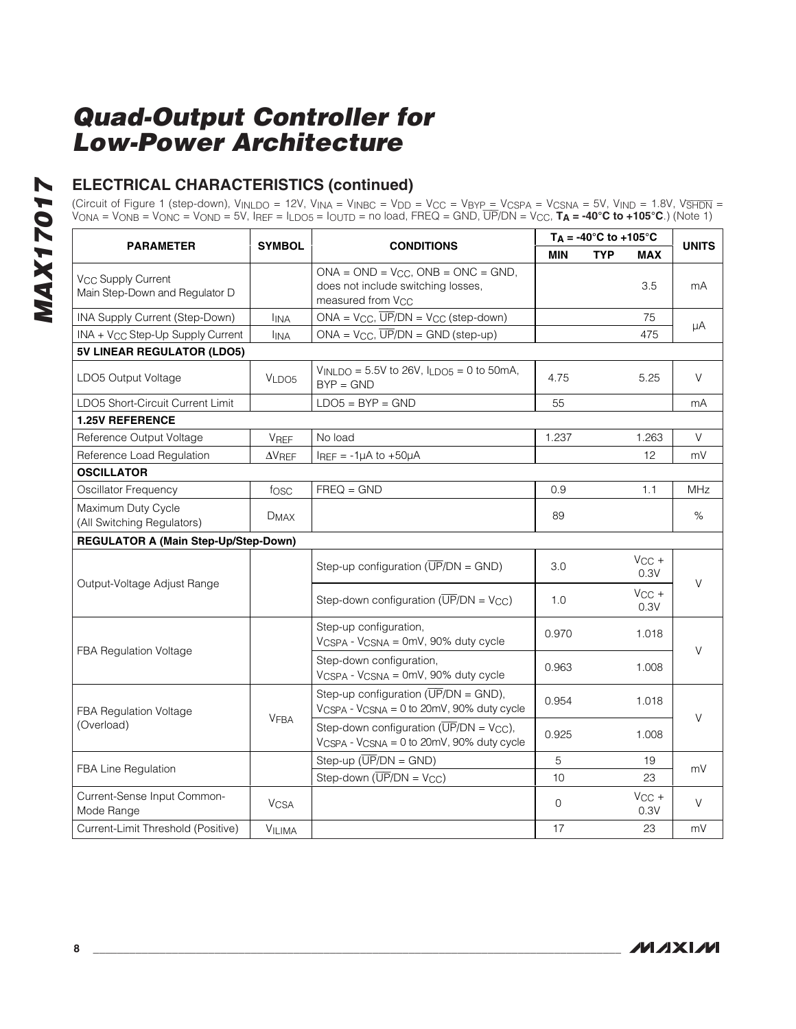# **MAX17017 MAX17017**

# **ELECTRICAL CHARACTERISTICS (continued)**

(Circuit of Figure 1 (step-down), V<sub>INLDO</sub> = 12V, V<sub>INA</sub> = V<sub>INBC</sub> = V<sub>DD</sub> = V<sub>CC</sub> = V<sub>BYP\_</sub>= V<sub>CSPA</sub> = V<sub>CSNA</sub> = 5V, V<sub>IND</sub> = 1.8V, V<del>SHDN</del> = VONA = VONB = VONC = VOND = 5V, IREF = ILDO5 = IOUTD = no load, FREQ = GND, UP/DN = VCC, **TA = -40°C to +105°C**.) (Note 1)

|                                                                        |                        |                                                                                                                   |              | $T_A = -40^\circ C$ to $+105^\circ C$ |                    |              |
|------------------------------------------------------------------------|------------------------|-------------------------------------------------------------------------------------------------------------------|--------------|---------------------------------------|--------------------|--------------|
| <b>PARAMETER</b>                                                       | <b>SYMBOL</b>          | <b>CONDITIONS</b>                                                                                                 | <b>MIN</b>   | <b>TYP</b>                            | <b>MAX</b>         | <b>UNITS</b> |
| <b>V<sub>CC</sub></b> Supply Current<br>Main Step-Down and Regulator D |                        | $ONA = OND = V_{CC}$ , $ONB = ONC = GND$ ,<br>does not include switching losses,<br>measured from V <sub>CC</sub> |              |                                       | 3.5                | mA           |
| INA Supply Current (Step-Down)                                         | <b>I</b> INA           | $ONA = V_{CC}$ , $\overline{UP}/DN = V_{CC}$ (step-down)                                                          |              |                                       | 75                 |              |
| INA + V <sub>CC</sub> Step-Up Supply Current                           | <b>IINA</b>            | $ONA = VCC$ , $\overline{UP}/DN = GND$ (step-up)                                                                  |              |                                       | 475                | μA           |
| 5V LINEAR REGULATOR (LDO5)                                             |                        |                                                                                                                   |              |                                       |                    |              |
| LDO5 Output Voltage                                                    | VLDO5                  | $V_{INLDO} = 5.5V$ to 26V, $I_{LDO5} = 0$ to 50mA,<br>$BYP = GND$                                                 | 4.75         |                                       | 5.25               | $\vee$       |
| LDO5 Short-Circuit Current Limit                                       |                        | $LDO5 = BYP = GND$                                                                                                | 55           |                                       |                    | mA           |
| <b>1.25V REFERENCE</b>                                                 |                        |                                                                                                                   |              |                                       |                    |              |
| Reference Output Voltage                                               | VREF                   | No load                                                                                                           | 1.237        |                                       | 1.263              | V            |
| Reference Load Regulation                                              | $\Delta V$ REF         | $I_{REF} = -1\mu A$ to $+50\mu A$                                                                                 |              |                                       | 12                 | mV           |
| <b>OSCILLATOR</b>                                                      |                        |                                                                                                                   |              |                                       |                    |              |
| Oscillator Frequency                                                   | fosc                   | $FREQ = GND$                                                                                                      | 0.9          |                                       | 1.1                | <b>MHz</b>   |
| Maximum Duty Cycle<br>(All Switching Regulators)                       | D <sub>MAX</sub>       |                                                                                                                   | 89           |                                       |                    | $\%$         |
| <b>REGULATOR A (Main Step-Up/Step-Down)</b>                            |                        |                                                                                                                   |              |                                       |                    |              |
|                                                                        |                        | Step-up configuration $(\overline{UP}/DN = \text{GND})$                                                           | 3.0          |                                       | $V_{CC}$ +<br>0.3V |              |
| Output-Voltage Adjust Range                                            |                        | Step-down configuration $(\overline{UP}/DN = V_{CC})$                                                             | 1.0          |                                       | $V_{CC}$ +<br>0.3V | V            |
|                                                                        |                        | Step-up configuration,<br>VCSPA - VCSNA = 0mV, 90% duty cycle                                                     | 0.970        |                                       | 1.018              | $\vee$       |
| FBA Regulation Voltage                                                 |                        | Step-down configuration,<br>VCSPA - VCSNA = 0mV, 90% duty cycle                                                   | 0.963        |                                       | 1.008              |              |
| FBA Regulation Voltage                                                 |                        | Step-up configuration ( $\overline{UP}/DN = \text{GND}$ ),<br>VCSPA - VCSNA = 0 to 20mV, 90% duty cycle           | 0.954        |                                       | 1.018              |              |
| (Overload)                                                             | VFBA                   | Step-down configuration ( $\overline{UP}/DN = V_{CC}$ ),<br>VCSPA - VCSNA = 0 to 20mV, 90% duty cycle             | 0.925        |                                       | 1.008              | V            |
|                                                                        |                        | Step-up $(\overline{UP}/DN = GND)$                                                                                | 5            |                                       | 19                 |              |
| FBA Line Regulation                                                    |                        | Step-down $(\overline{UP}/DN = V_{CC})$                                                                           | 10           |                                       | 23                 | mV           |
| Current-Sense Input Common-<br>Mode Range                              | <b>V<sub>CSA</sub></b> |                                                                                                                   | $\mathbf{O}$ |                                       | $V_{CC}$ +<br>0.3V | V            |
| Current-Limit Threshold (Positive)                                     | <b>VILIMA</b>          |                                                                                                                   | 17           |                                       | 23                 | mV           |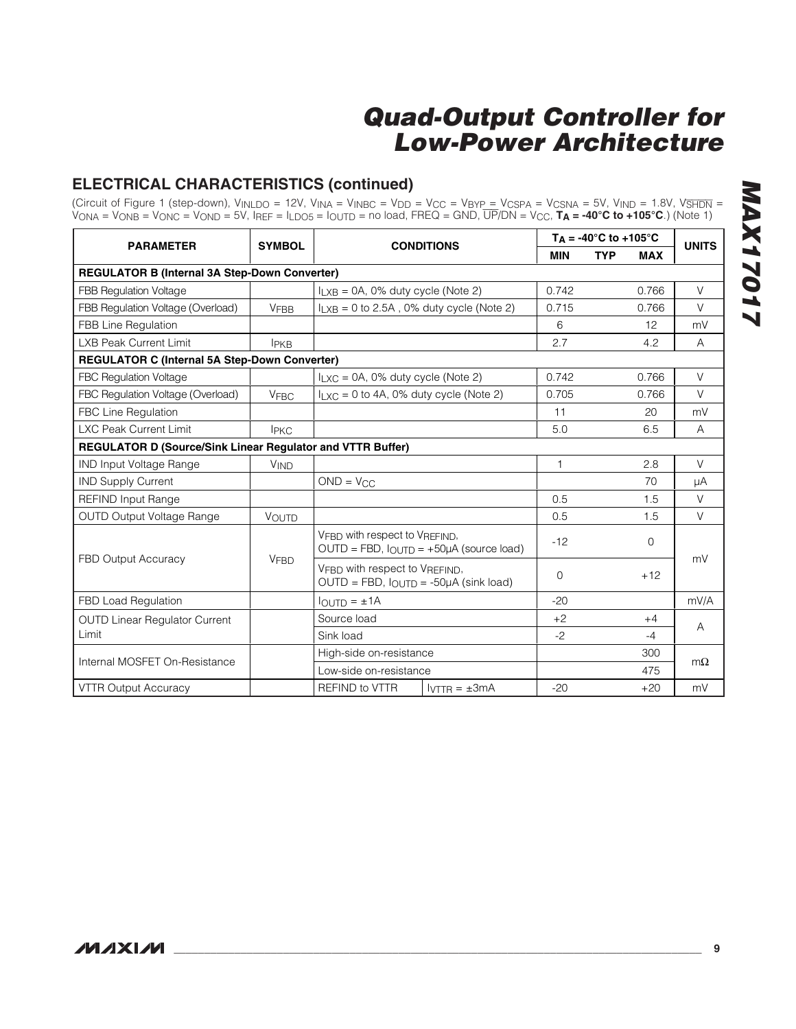### **ELECTRICAL CHARACTERISTICS (continued)**

(Circuit of Figure 1 (step-down), V<sub>INLDO</sub> = 12V, V<sub>INA</sub> = V<sub>INBC</sub> = V<sub>DD</sub> = V<sub>CC</sub> = V<sub>BYP</sub> = V<sub>CSPA</sub> = V<sub>CSNA</sub> = 5V, V<sub>IND</sub> = 1.8V, V<del>SHDN</del> = VONA = VONB = VONC = VOND = 5V, IREF = ILDO5 = IOUTD = no load, FREQ = GND, UP/DN = VCC, **TA = -40°C to +105°C**.) (Note 1)

| <b>PARAMETER</b>                                           | <b>SYMBOL</b> | <b>CONDITIONS</b>                             |                                                                                   |              | $T_A = -40^{\circ}C$ to $+105^{\circ}C$ |             |              |
|------------------------------------------------------------|---------------|-----------------------------------------------|-----------------------------------------------------------------------------------|--------------|-----------------------------------------|-------------|--------------|
|                                                            |               |                                               |                                                                                   |              | <b>TYP</b>                              | <b>MAX</b>  | <b>UNITS</b> |
| <b>REGULATOR B (Internal 3A Step-Down Converter)</b>       |               |                                               |                                                                                   |              |                                         |             |              |
| FBB Regulation Voltage                                     |               | $I_{LXB} = 0A$ , 0% duty cycle (Note 2)       |                                                                                   | 0.742        |                                         | 0.766       | $\vee$       |
| FBB Regulation Voltage (Overload)                          | <b>VFBB</b>   | $I_{LXB} = 0$ to 2.5A, 0% duty cycle (Note 2) |                                                                                   | 0.715        |                                         | 0.766       | $\vee$       |
| FBB Line Regulation                                        |               |                                               |                                                                                   | 6            |                                         | 12          | mV           |
| <b>LXB Peak Current Limit</b>                              | <b>IPKB</b>   |                                               |                                                                                   | 2.7          |                                         | 4.2         | A            |
| <b>REGULATOR C (Internal 5A Step-Down Converter)</b>       |               |                                               |                                                                                   |              |                                         |             |              |
| FBC Regulation Voltage                                     |               | $I_{LXC} = 0A$ , 0% duty cycle (Note 2)       |                                                                                   | 0.742        |                                         | 0.766       | $\vee$       |
| FBC Regulation Voltage (Overload)                          | <b>VFBC</b>   | $I_{LXC} = 0$ to 4A, 0% duty cycle (Note 2)   |                                                                                   | 0.705        |                                         | 0.766       | $\vee$       |
| FBC Line Regulation                                        |               |                                               |                                                                                   | 11           |                                         | 20          | mV           |
| <b>LXC Peak Current Limit</b>                              | <b>IPKC</b>   |                                               |                                                                                   |              |                                         | 6.5         | A            |
| REGULATOR D (Source/Sink Linear Regulator and VTTR Buffer) |               |                                               |                                                                                   |              |                                         |             |              |
| <b>IND Input Voltage Range</b>                             | <b>VIND</b>   |                                               |                                                                                   | $\mathbf{1}$ |                                         | 2.8         | $\vee$       |
| <b>IND Supply Current</b>                                  |               | $OND = V_{CC}$                                |                                                                                   |              |                                         | 70          | μA           |
| <b>REFIND Input Range</b>                                  |               |                                               |                                                                                   | 0.5          |                                         | 1.5         | $\vee$       |
| OUTD Output Voltage Range                                  | VOUTD         |                                               |                                                                                   | 0.5          |                                         | 1.5         | V            |
|                                                            |               | VFBD with respect to VREFIND,                 | $OUTD = FBD$ , $IOUTD = +50\mu A$ (source load)                                   | $-12$        |                                         | $\mathbf 0$ |              |
| FBD Output Accuracy                                        | <b>VFBD</b>   |                                               | VFBD with respect to VREFIND,<br>$OUTD = FBD$ , $I_{OUTD} = -50\mu A$ (sink load) |              |                                         | $+12$       | mV           |
| FBD Load Regulation                                        |               | $I_{\text{OUTD}} = \pm 1A$                    |                                                                                   | $-20$        |                                         |             | mV/A         |
| <b>OUTD Linear Regulator Current</b>                       |               | Source load                                   |                                                                                   | $+2$         |                                         | $+4$        |              |
| Limit                                                      |               | Sink load                                     |                                                                                   |              |                                         | $-4$        | A            |
| Internal MOSFET On-Resistance                              |               | High-side on-resistance                       |                                                                                   |              |                                         | 300         | $m\Omega$    |
|                                                            |               | Low-side on-resistance                        |                                                                                   |              |                                         | 475         |              |
| <b>VTTR Output Accuracy</b>                                |               | <b>REFIND to VTTR</b>                         | $IVTTR = ±3mA$                                                                    | $-20$        |                                         | $+20$       | mV           |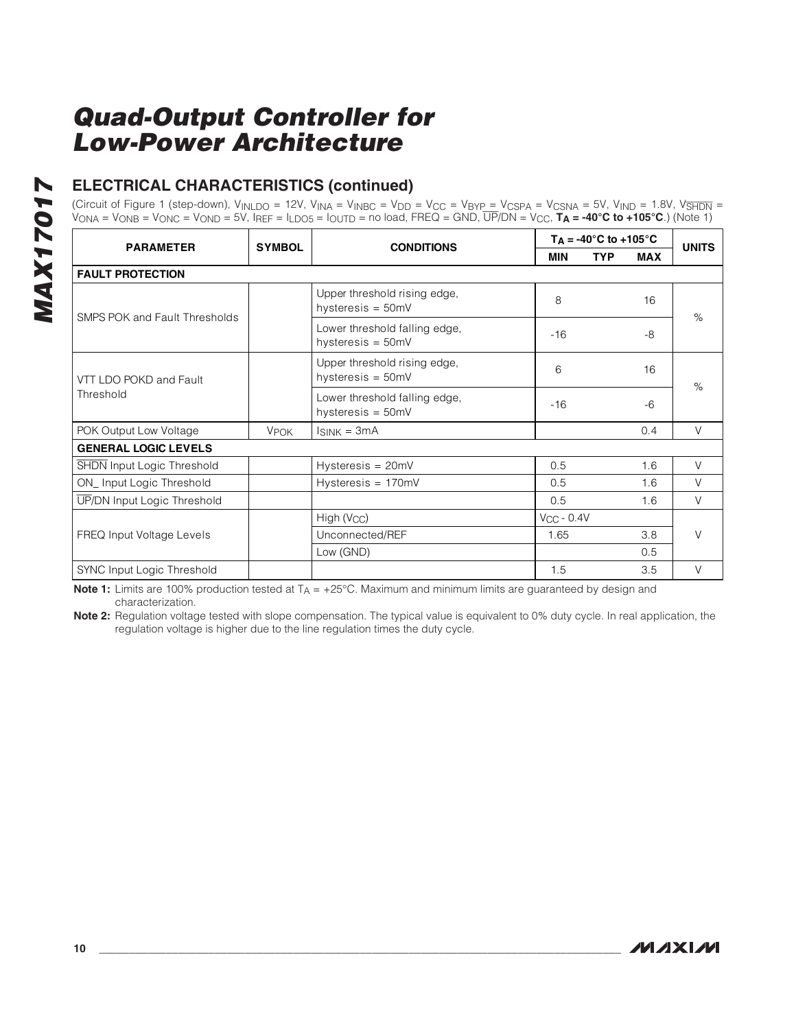# **ELECTRICAL CHARACTERISTICS (continued)**

(Circuit of Figure 1 (step-down), V<sub>INLDO</sub> = 12V, V<sub>INA</sub> = V<sub>INBC</sub> = V<sub>DD</sub> = V<sub>CC</sub> = V<sub>BYP\_</sub>= V<sub>CSPA</sub> = V<sub>CSNA</sub> = 5V, V<sub>IND</sub> = 1.8V, V<del>SHDN</del> = VONA = VONB = VONC = VOND = 5V, IREF = ILDO5 = IOUTD = no load, FREQ = GND, UP/DN = VCC, **TA = -40°C to +105°C**.) (Note 1)

| <b>PARAMETER</b>                  | <b>SYMBOL</b>          | <b>CONDITIONS</b>                                    | $T_A = -40^{\circ}C$ to $+105^{\circ}C$ |            |            | <b>UNITS</b> |  |
|-----------------------------------|------------------------|------------------------------------------------------|-----------------------------------------|------------|------------|--------------|--|
|                                   |                        |                                                      | <b>MIN</b>                              | <b>TYP</b> | <b>MAX</b> |              |  |
| <b>FAULT PROTECTION</b>           |                        |                                                      |                                         |            |            |              |  |
| SMPS POK and Fault Thresholds     |                        | Upper threshold rising edge,<br>hysteresis = $50mV$  | 8                                       |            | 16         | $\%$         |  |
|                                   |                        | Lower threshold falling edge,<br>hysteresis = $50mV$ | $-16$                                   |            | -8         |              |  |
| VTT LDO POKD and Fault            |                        | Upper threshold rising edge,<br>hysteresis = $50mV$  | 6                                       |            | 16         | $\%$         |  |
| Threshold                         |                        | Lower threshold falling edge,<br>hysteresis = 50mV   | $-16$                                   |            | $-6$       |              |  |
| POK Output Low Voltage            | <b>V<sub>POK</sub></b> | $I_{SINK} = 3mA$                                     |                                         |            | 0.4        | $\vee$       |  |
| <b>GENERAL LOGIC LEVELS</b>       |                        |                                                      |                                         |            |            |              |  |
| <b>SHDN Input Logic Threshold</b> |                        | $Hysteresis = 20mV$                                  | 0.5                                     |            | 1.6        | $\vee$       |  |
| ON_Input Logic Threshold          |                        | $Hysteresis = 170mV$                                 | 0.5                                     |            | 1.6        | $\vee$       |  |
| UP/DN Input Logic Threshold       |                        |                                                      | 0.5                                     |            | 1.6        | $\vee$       |  |
|                                   |                        | High (V <sub>CC</sub> )                              | $V_{CC}$ - 0.4V                         |            |            |              |  |
| FREQ Input Voltage Levels         |                        | Unconnected/REF                                      | 1.65                                    |            | 3.8        | $\vee$       |  |
|                                   |                        | Low (GND)                                            |                                         |            | 0.5        |              |  |
| SYNC Input Logic Threshold        |                        |                                                      | 1.5                                     |            | 3.5        | $\vee$       |  |

**Note 1:** Limits are 100% production tested at T<sub>A</sub> = +25°C. Maximum and minimum limits are guaranteed by design and characterization.

**Note 2:** Regulation voltage tested with slope compensation. The typical value is equivalent to 0% duty cycle. In real application, the regulation voltage is higher due to the line regulation times the duty cycle.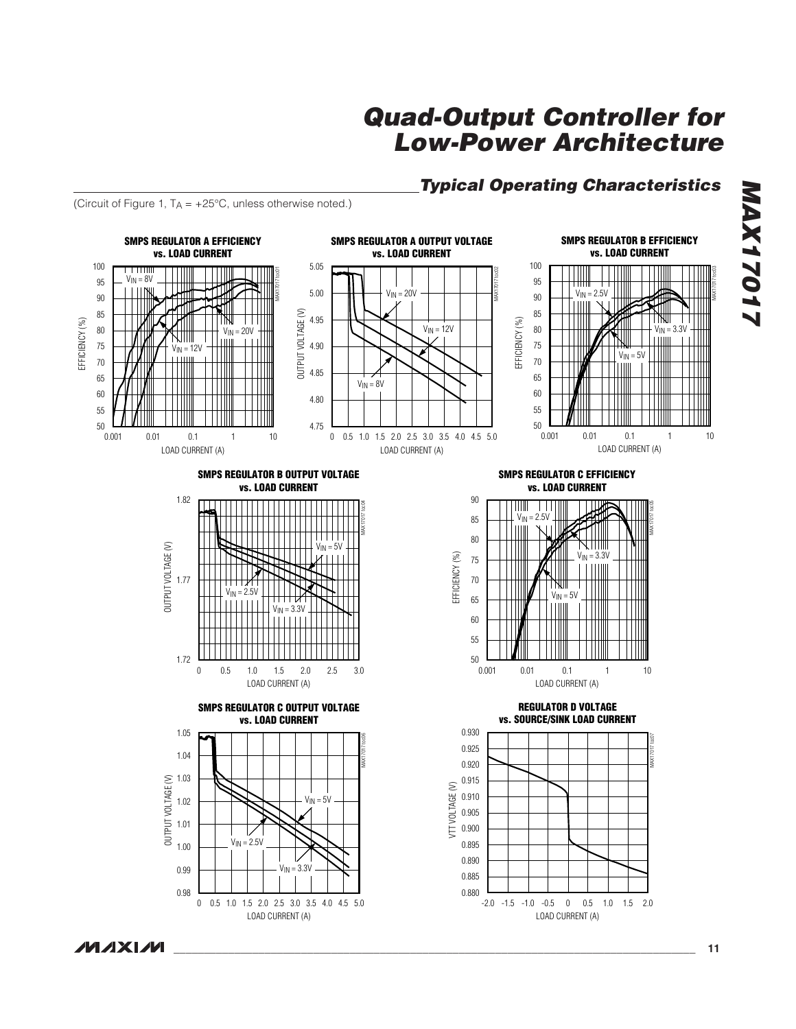### **Typical Operating Characteristics**

(Circuit of Figure 1,  $T_A = +25^{\circ}C$ , unless otherwise noted.)



**MAX17017 STOSTXAM**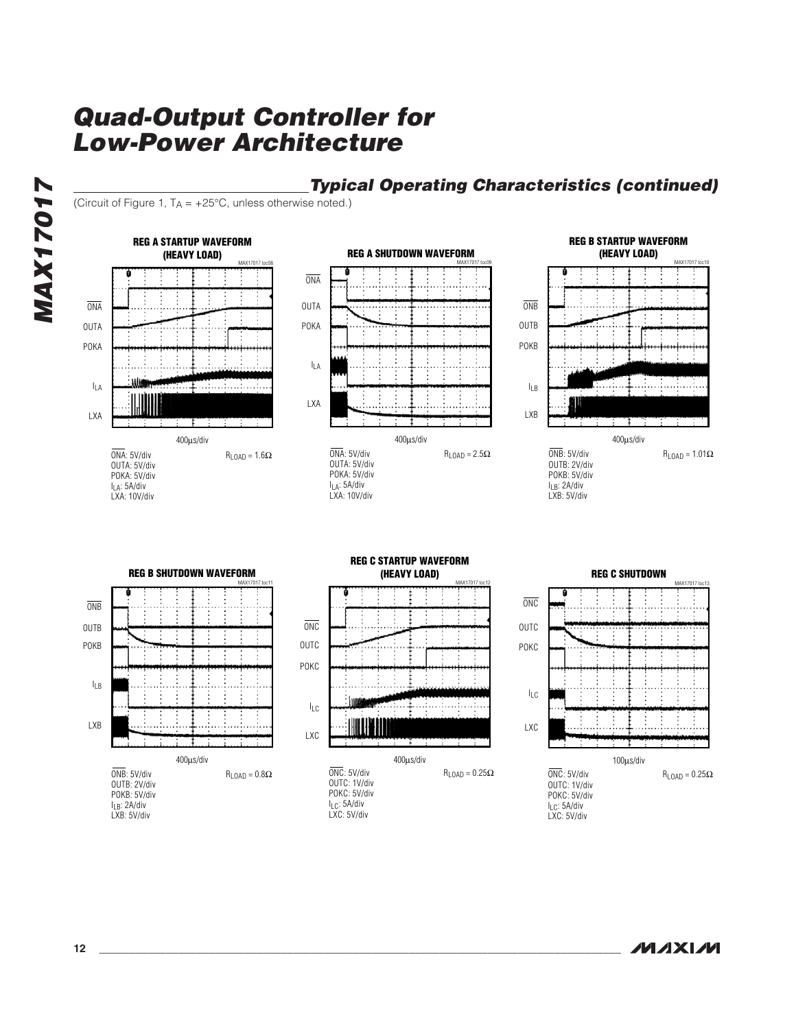**MAX17017 MAX17017**

# **Typical Operating Characteristics (continued)**

(Circuit of Figure 1,  $T_A = +25^{\circ}C$ , unless otherwise noted.)



LXC: 5V/div

LXB: 5V/div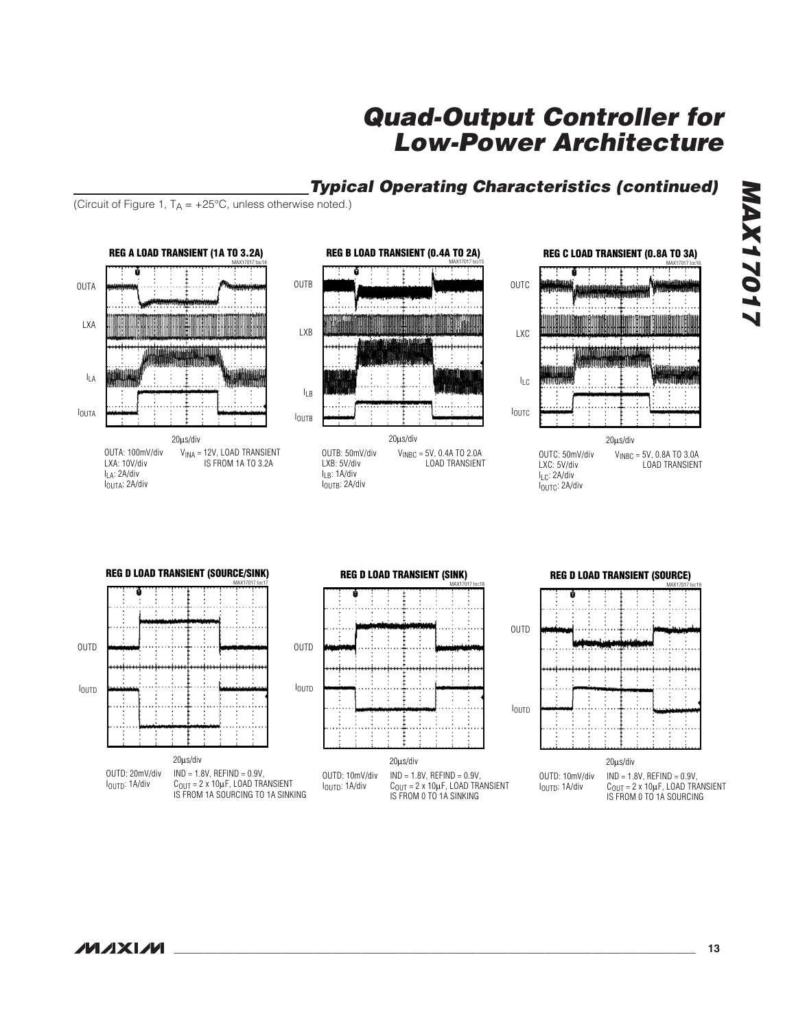

(Circuit of Figure 1,  $T_A = +25^{\circ}C$ , unless otherwise noted.)

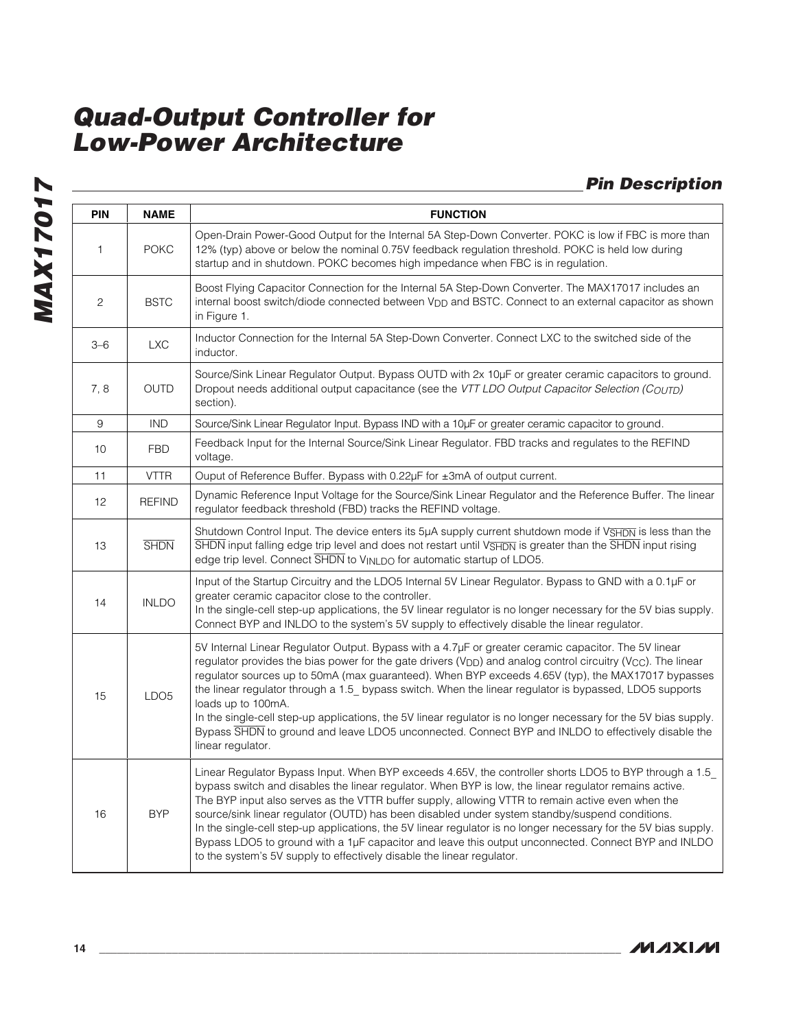**MAX17017 MAX17017**

# **Pin Description**

| <b>PIN</b>     | <b>NAME</b>      | <b>FUNCTION</b>                                                                                                                                                                                                                                                                                                                                                                                                                                                                                                                                                                                                                                                                                                                     |
|----------------|------------------|-------------------------------------------------------------------------------------------------------------------------------------------------------------------------------------------------------------------------------------------------------------------------------------------------------------------------------------------------------------------------------------------------------------------------------------------------------------------------------------------------------------------------------------------------------------------------------------------------------------------------------------------------------------------------------------------------------------------------------------|
| 1              | <b>POKC</b>      | Open-Drain Power-Good Output for the Internal 5A Step-Down Converter. POKC is low if FBC is more than<br>12% (typ) above or below the nominal 0.75V feedback regulation threshold. POKC is held low during<br>startup and in shutdown. POKC becomes high impedance when FBC is in regulation.                                                                                                                                                                                                                                                                                                                                                                                                                                       |
| $\overline{c}$ | <b>BSTC</b>      | Boost Flying Capacitor Connection for the Internal 5A Step-Down Converter. The MAX17017 includes an<br>internal boost switch/diode connected between V <sub>DD</sub> and BSTC. Connect to an external capacitor as shown<br>in Figure 1.                                                                                                                                                                                                                                                                                                                                                                                                                                                                                            |
| $3 - 6$        | <b>LXC</b>       | Inductor Connection for the Internal 5A Step-Down Converter. Connect LXC to the switched side of the<br>inductor.                                                                                                                                                                                                                                                                                                                                                                                                                                                                                                                                                                                                                   |
| 7,8            | <b>OUTD</b>      | Source/Sink Linear Regulator Output. Bypass OUTD with 2x 10µF or greater ceramic capacitors to ground.<br>Dropout needs additional output capacitance (see the VTT LDO Output Capacitor Selection (COUTD)<br>section).                                                                                                                                                                                                                                                                                                                                                                                                                                                                                                              |
| $\hbox{9}$     | <b>IND</b>       | Source/Sink Linear Regulator Input. Bypass IND with a 10µF or greater ceramic capacitor to ground.                                                                                                                                                                                                                                                                                                                                                                                                                                                                                                                                                                                                                                  |
| 10             | <b>FBD</b>       | Feedback Input for the Internal Source/Sink Linear Regulator. FBD tracks and regulates to the REFIND<br>voltage.                                                                                                                                                                                                                                                                                                                                                                                                                                                                                                                                                                                                                    |
| 11             | <b>VTTR</b>      | Ouput of Reference Buffer. Bypass with $0.22\mu$ F for $\pm 3$ mA of output current.                                                                                                                                                                                                                                                                                                                                                                                                                                                                                                                                                                                                                                                |
| 12             | <b>REFIND</b>    | Dynamic Reference Input Voltage for the Source/Sink Linear Regulator and the Reference Buffer. The linear<br>regulator feedback threshold (FBD) tracks the REFIND voltage.                                                                                                                                                                                                                                                                                                                                                                                                                                                                                                                                                          |
| 13             | <b>SHDN</b>      | Shutdown Control Input. The device enters its 5µA supply current shutdown mode if V <sub>SHDN</sub> is less than the<br>$\overline{\text{SHDN}}$ input falling edge trip level and does not restart until $V\overline{\text{SHDN}}$ is greater than the $\overline{\text{SHDN}}$ input rising<br>edge trip level. Connect SHDN to VINLDO for automatic startup of LDO5.                                                                                                                                                                                                                                                                                                                                                             |
| 14             | <b>INLDO</b>     | Input of the Startup Circuitry and the LDO5 Internal 5V Linear Regulator. Bypass to GND with a 0.1µF or<br>greater ceramic capacitor close to the controller.<br>In the single-cell step-up applications, the 5V linear regulator is no longer necessary for the 5V bias supply.<br>Connect BYP and INLDO to the system's 5V supply to effectively disable the linear regulator.                                                                                                                                                                                                                                                                                                                                                    |
| 15             | LDO <sub>5</sub> | 5V Internal Linear Regulator Output. Bypass with a 4.7µF or greater ceramic capacitor. The 5V linear<br>regulator provides the bias power for the gate drivers ( $V_{\text{DD}}$ ) and analog control circuitry ( $V_{\text{CC}}$ ). The linear<br>regulator sources up to 50mA (max guaranteed). When BYP exceeds 4.65V (typ), the MAX17017 bypasses<br>the linear regulator through a 1.5 bypass switch. When the linear regulator is bypassed, LDO5 supports<br>loads up to 100mA.<br>In the single-cell step-up applications, the 5V linear regulator is no longer necessary for the 5V bias supply.<br>Bypass SHDN to ground and leave LDO5 unconnected. Connect BYP and INLDO to effectively disable the<br>linear regulator. |
| 16             | <b>BYP</b>       | Linear Regulator Bypass Input. When BYP exceeds 4.65V, the controller shorts LDO5 to BYP through a 1.5<br>bypass switch and disables the linear regulator. When BYP is low, the linear regulator remains active.<br>The BYP input also serves as the VTTR buffer supply, allowing VTTR to remain active even when the<br>source/sink linear regulator (OUTD) has been disabled under system standby/suspend conditions.<br>In the single-cell step-up applications, the 5V linear regulator is no longer necessary for the 5V bias supply.<br>Bypass LDO5 to ground with a 1µF capacitor and leave this output unconnected. Connect BYP and INLDO<br>to the system's 5V supply to effectively disable the linear regulator.         |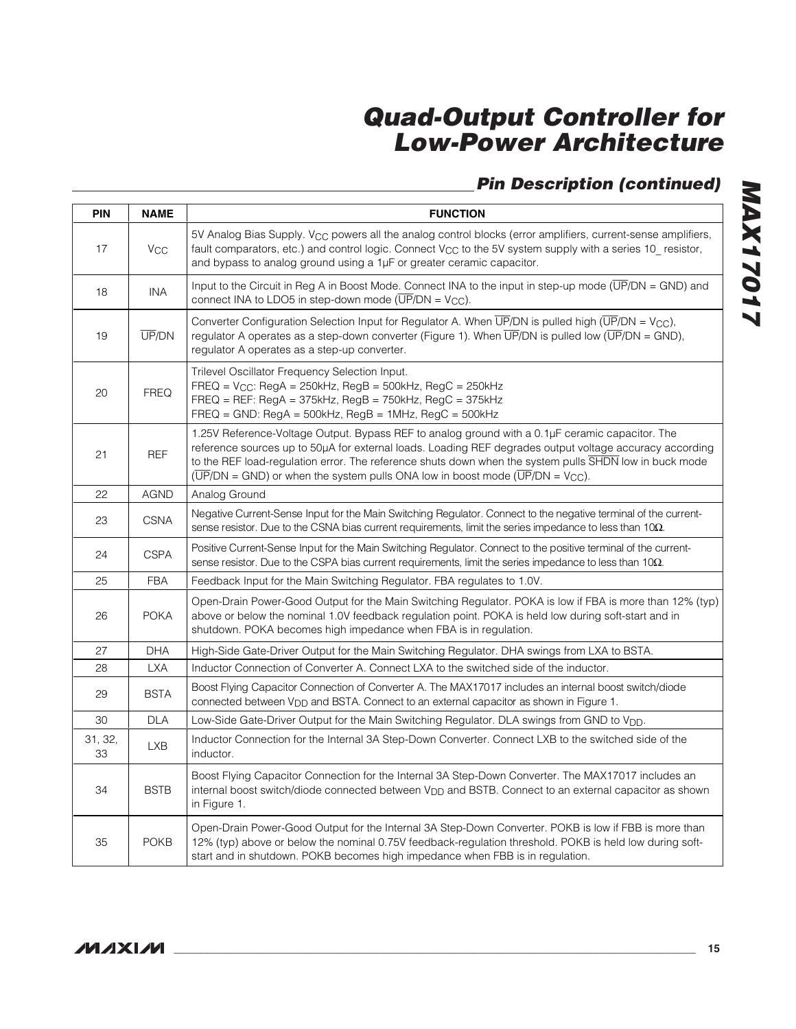# **Pin Description (continued)**

| <b>PIN</b>    | <b>NAME</b>  | <b>FUNCTION</b>                                                                                                                                                                                                                                                                                                                                                                                                                          |
|---------------|--------------|------------------------------------------------------------------------------------------------------------------------------------------------------------------------------------------------------------------------------------------------------------------------------------------------------------------------------------------------------------------------------------------------------------------------------------------|
| 17            | Vcc          | 5V Analog Bias Supply. V <sub>CC</sub> powers all the analog control blocks (error amplifiers, current-sense amplifiers,<br>fault comparators, etc.) and control logic. Connect $V_{CC}$ to the 5V system supply with a series 10 resistor,<br>and bypass to analog ground using a 1µF or greater ceramic capacitor.                                                                                                                     |
| 18            | INA          | Input to the Circuit in Reg A in Boost Mode. Connect INA to the input in step-up mode $(\overline{UP}/DN = \text{GND})$ and<br>connect INA to LDO5 in step-down mode $(\overline{UP}/DN = V_{CC})$ .                                                                                                                                                                                                                                     |
| 19            | <b>UP/DN</b> | Converter Configuration Selection Input for Regulator A. When $\overline{UP}/DN$ is pulled high $(\overline{UP}/DN = V_{CC})$ ,<br>regulator A operates as a step-down converter (Figure 1). When $\overline{UP}/DN$ is pulled low $(\overline{UP}/DN = \text{GND})$ ,<br>regulator A operates as a step-up converter.                                                                                                                   |
| 20            | <b>FREQ</b>  | Trilevel Oscillator Frequency Selection Input.<br>$FREG = V_{CC}$ : RegA = 250kHz, RegB = 500kHz, RegC = 250kHz<br>$FREQ = REF$ : RegA = 375kHz, RegB = 750kHz, RegC = 375kHz<br>$FREQ = GND$ : RegA = 500kHz, RegB = 1MHz, RegC = 500kHz                                                                                                                                                                                                |
| 21            | <b>REF</b>   | 1.25V Reference-Voltage Output. Bypass REF to analog ground with a 0.1µF ceramic capacitor. The<br>reference sources up to 50µA for external loads. Loading REF degrades output voltage accuracy according<br>to the REF load-regulation error. The reference shuts down when the system pulls SHDN low in buck mode<br>$(\overline{UP}/DN = \text{GND})$ or when the system pulls ONA low in boost mode $(\overline{UP}/DN = V_{CC})$ . |
| 22            | <b>AGND</b>  | Analog Ground                                                                                                                                                                                                                                                                                                                                                                                                                            |
| 23            | <b>CSNA</b>  | Negative Current-Sense Input for the Main Switching Regulator. Connect to the negative terminal of the current-<br>sense resistor. Due to the CSNA bias current requirements, limit the series impedance to less than $10\Omega$ .                                                                                                                                                                                                       |
| 24            | <b>CSPA</b>  | Positive Current-Sense Input for the Main Switching Regulator. Connect to the positive terminal of the current-<br>sense resistor. Due to the CSPA bias current requirements, limit the series impedance to less than $10\Omega$ .                                                                                                                                                                                                       |
| 25            | <b>FBA</b>   | Feedback Input for the Main Switching Regulator. FBA regulates to 1.0V.                                                                                                                                                                                                                                                                                                                                                                  |
| 26            | <b>POKA</b>  | Open-Drain Power-Good Output for the Main Switching Regulator. POKA is low if FBA is more than 12% (typ)<br>above or below the nominal 1.0V feedback regulation point. POKA is held low during soft-start and in<br>shutdown. POKA becomes high impedance when FBA is in regulation.                                                                                                                                                     |
| 27            | <b>DHA</b>   | High-Side Gate-Driver Output for the Main Switching Regulator. DHA swings from LXA to BSTA.                                                                                                                                                                                                                                                                                                                                              |
| 28            | <b>LXA</b>   | Inductor Connection of Converter A. Connect LXA to the switched side of the inductor.                                                                                                                                                                                                                                                                                                                                                    |
| 29            | <b>BSTA</b>  | Boost Flying Capacitor Connection of Converter A. The MAX17017 includes an internal boost switch/diode<br>connected between V <sub>DD</sub> and BSTA. Connect to an external capacitor as shown in Figure 1.                                                                                                                                                                                                                             |
| 30            | <b>DLA</b>   | Low-Side Gate-Driver Output for the Main Switching Regulator. DLA swings from GND to V <sub>DD</sub> .                                                                                                                                                                                                                                                                                                                                   |
| 31, 32,<br>33 | LXB          | Inductor Connection for the Internal 3A Step-Down Converter. Connect LXB to the switched side of the<br>inductor.                                                                                                                                                                                                                                                                                                                        |
| 34            | <b>BSTB</b>  | Boost Flying Capacitor Connection for the Internal 3A Step-Down Converter. The MAX17017 includes an<br>internal boost switch/diode connected between $V_{\text{DD}}$ and BSTB. Connect to an external capacitor as shown<br>in Figure 1.                                                                                                                                                                                                 |
| 35            | <b>POKB</b>  | Open-Drain Power-Good Output for the Internal 3A Step-Down Converter. POKB is low if FBB is more than<br>12% (typ) above or below the nominal 0.75V feedback-regulation threshold. POKB is held low during soft-<br>start and in shutdown. POKB becomes high impedance when FBB is in regulation.                                                                                                                                        |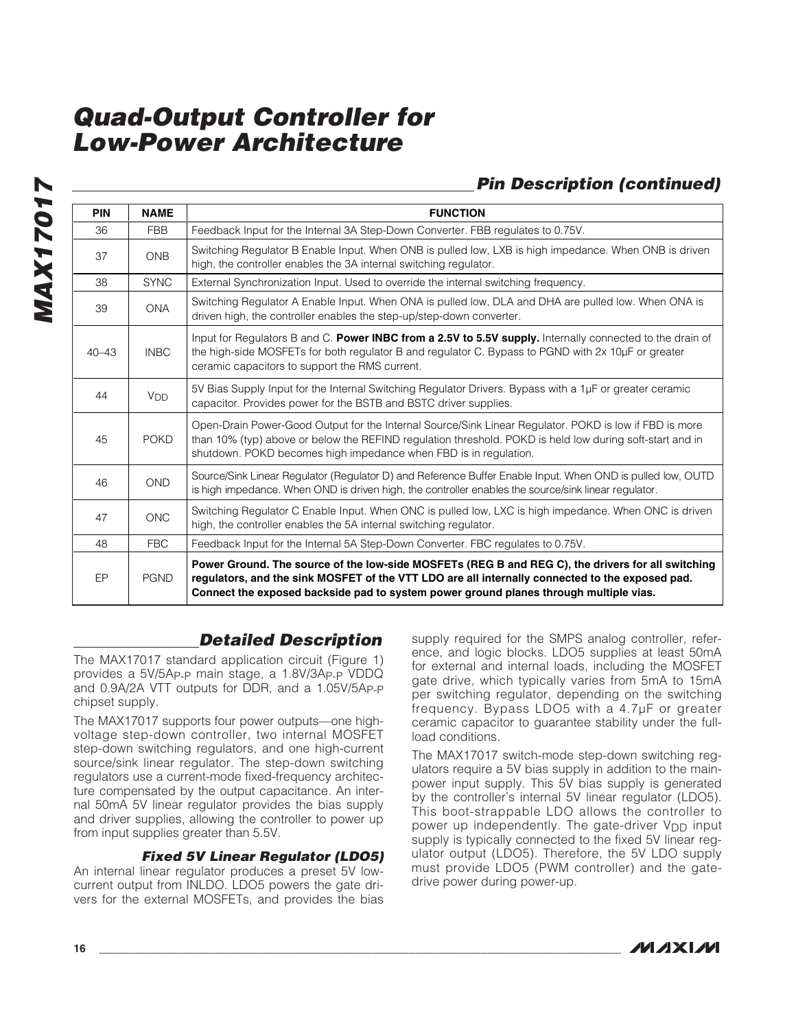### **Pin Description (continued)**

| <b>PIN</b> | <b>NAME</b>           | <b>FUNCTION</b>                                                                                                                                                                                                                                                                               |
|------------|-----------------------|-----------------------------------------------------------------------------------------------------------------------------------------------------------------------------------------------------------------------------------------------------------------------------------------------|
| 36         | <b>FBB</b>            | Feedback Input for the Internal 3A Step-Down Converter. FBB regulates to 0.75V.                                                                                                                                                                                                               |
| 37         | <b>ONB</b>            | Switching Regulator B Enable Input. When ONB is pulled low, LXB is high impedance. When ONB is driven<br>high, the controller enables the 3A internal switching regulator.                                                                                                                    |
| 38         | <b>SYNC</b>           | External Synchronization Input. Used to override the internal switching frequency.                                                                                                                                                                                                            |
| 39         | <b>ONA</b>            | Switching Regulator A Enable Input. When ONA is pulled low, DLA and DHA are pulled low. When ONA is<br>driven high, the controller enables the step-up/step-down converter.                                                                                                                   |
| $40 - 43$  | <b>INBC</b>           | Input for Regulators B and C. Power INBC from a 2.5V to 5.5V supply. Internally connected to the drain of<br>the high-side MOSFETs for both regulator B and regulator C. Bypass to PGND with 2x 10µF or greater<br>ceramic capacitors to support the RMS current.                             |
| 44         | <b>V<sub>DD</sub></b> | 5V Bias Supply Input for the Internal Switching Regulator Drivers. Bypass with a 1µF or greater ceramic<br>capacitor. Provides power for the BSTB and BSTC driver supplies.                                                                                                                   |
| 45         | <b>POKD</b>           | Open-Drain Power-Good Output for the Internal Source/Sink Linear Regulator. POKD is low if FBD is more<br>than 10% (typ) above or below the REFIND regulation threshold. POKD is held low during soft-start and in<br>shutdown. POKD becomes high impedance when FBD is in regulation.        |
| 46         | <b>OND</b>            | Source/Sink Linear Regulator (Regulator D) and Reference Buffer Enable Input. When OND is pulled low, OUTD<br>is high impedance. When OND is driven high, the controller enables the source/sink linear regulator.                                                                            |
| 47         | <b>ONC</b>            | Switching Regulator C Enable Input. When ONC is pulled low, LXC is high impedance. When ONC is driven<br>high, the controller enables the 5A internal switching regulator.                                                                                                                    |
| 48         | <b>FBC</b>            | Feedback Input for the Internal 5A Step-Down Converter. FBC regulates to 0.75V.                                                                                                                                                                                                               |
| EP         | <b>PGND</b>           | Power Ground. The source of the low-side MOSFETs (REG B and REG C), the drivers for all switching<br>regulators, and the sink MOSFET of the VTT LDO are all internally connected to the exposed pad.<br>Connect the exposed backside pad to system power ground planes through multiple vias. |

### **Detailed Description**

The MAX17017 standard application circuit (Figure 1) provides a 5V/5AP-P main stage, a 1.8V/3AP-P VDDQ and 0.9A/2A VTT outputs for DDR, and a 1.05V/5AP-P chipset supply.

The MAX17017 supports four power outputs—one highvoltage step-down controller, two internal MOSFET step-down switching regulators, and one high-current source/sink linear regulator. The step-down switching regulators use a current-mode fixed-frequency architecture compensated by the output capacitance. An internal 50mA 5V linear regulator provides the bias supply and driver supplies, allowing the controller to power up from input supplies greater than 5.5V.

### **Fixed 5V Linear Regulator (LDO5)**

An internal linear regulator produces a preset 5V lowcurrent output from INLDO. LDO5 powers the gate drivers for the external MOSFETs, and provides the bias

supply required for the SMPS analog controller, reference, and logic blocks. LDO5 supplies at least 50mA for external and internal loads, including the MOSFET gate drive, which typically varies from 5mA to 15mA per switching regulator, depending on the switching frequency. Bypass LDO5 with a 4.7μF or greater ceramic capacitor to guarantee stability under the fullload conditions.

The MAX17017 switch-mode step-down switching regulators require a 5V bias supply in addition to the mainpower input supply. This 5V bias supply is generated by the controller's internal 5V linear regulator (LDO5). This boot-strappable LDO allows the controller to power up independently. The gate-driver  $V_{DD}$  input supply is typically connected to the fixed 5V linear regulator output (LDO5). Therefore, the 5V LDO supply must provide LDO5 (PWM controller) and the gatedrive power during power-up.

**MAX17017**

**MAX17017**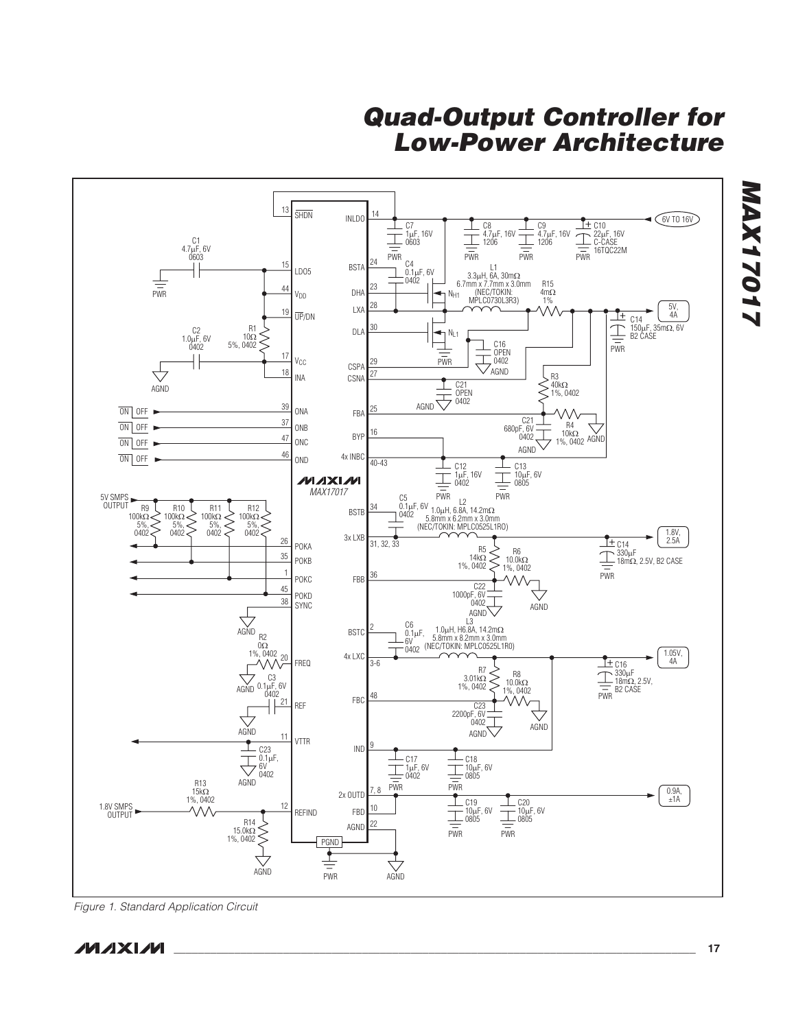

Figure 1. Standard Application Circuit

**MAXM** 

**MAX17017**

**LIOLIXVIN**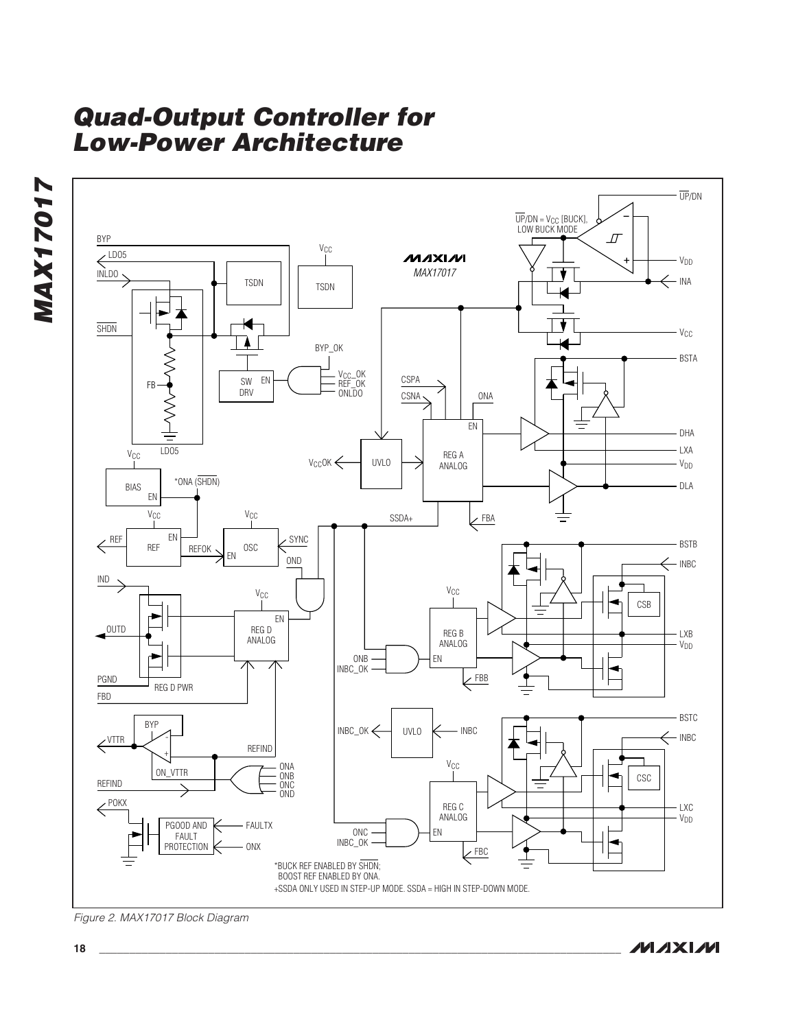



Figure 2. MAX17017 Block Diagram

**MAXM**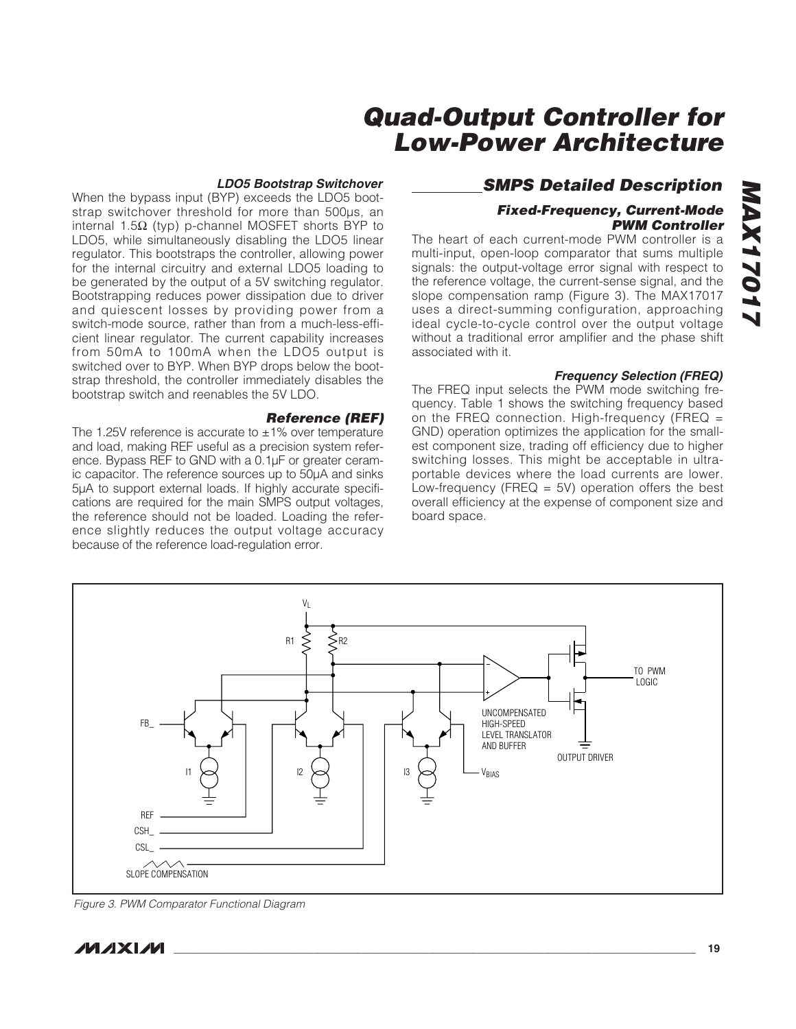### **LDO5 Bootstrap Switchover**

When the bypass input (BYP) exceeds the LDO5 bootstrap switchover threshold for more than 500μs, an internal 1.5Ω (typ) p-channel MOSFET shorts BYP to LDO5, while simultaneously disabling the LDO5 linear regulator. This bootstraps the controller, allowing power for the internal circuitry and external LDO5 loading to be generated by the output of a 5V switching regulator. Bootstrapping reduces power dissipation due to driver and quiescent losses by providing power from a switch-mode source, rather than from a much-less-efficient linear regulator. The current capability increases from 50mA to 100mA when the LDO5 output is switched over to BYP. When BYP drops below the bootstrap threshold, the controller immediately disables the bootstrap switch and reenables the 5V LDO.

### **Reference (REF)**

The 1.25V reference is accurate to  $\pm$ 1% over temperature and load, making REF useful as a precision system reference. Bypass REF to GND with a 0.1μF or greater ceramic capacitor. The reference sources up to 50μA and sinks 5μA to support external loads. If highly accurate specifications are required for the main SMPS output voltages, the reference should not be loaded. Loading the reference slightly reduces the output voltage accuracy because of the reference load-regulation error.

### **SMPS Detailed Description**

### **Fixed-Frequency, Current-Mode PWM Controller**

The heart of each current-mode PWM controller is a multi-input, open-loop comparator that sums multiple signals: the output-voltage error signal with respect to the reference voltage, the current-sense signal, and the slope compensation ramp (Figure 3). The MAX17017 uses a direct-summing configuration, approaching ideal cycle-to-cycle control over the output voltage without a traditional error amplifier and the phase shift associated with it.

### **Frequency Selection (FREQ)**

The FREQ input selects the PWM mode switching frequency. Table 1 shows the switching frequency based on the FREQ connection. High-frequency (FREQ = GND) operation optimizes the application for the smallest component size, trading off efficiency due to higher switching losses. This might be acceptable in ultraportable devices where the load currents are lower. Low-frequency (FREQ  $=$  5V) operation offers the best overall efficiency at the expense of component size and board space.



Figure 3. PWM Comparator Functional Diagram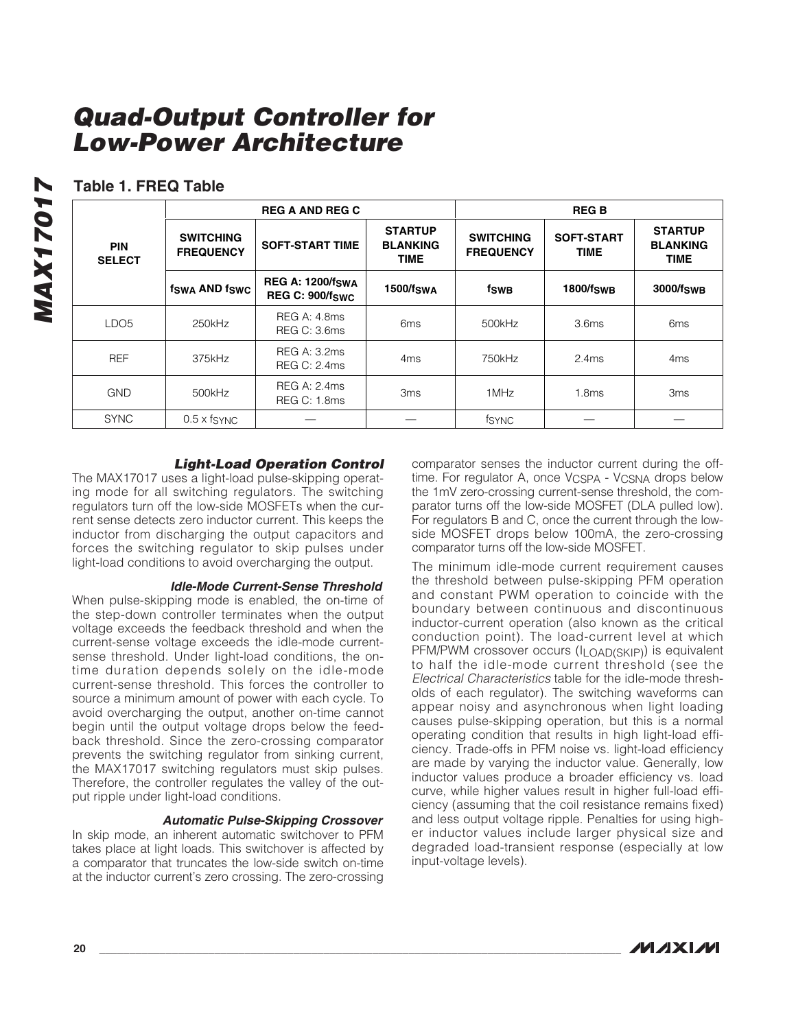**FREQUENCY SOFT-START TIME**

**REG A: 1200/fSWA REG C: 900/fSWC**

**STARTUP BLANKING TIME**

SYNC 0.5 x fSYNC — —fSYNC — —

**SWITCHING FREQUENCY**

REG C: 3.6ms 6ms 6ms 500kHz 3.6ms 6ms

REG C: 2.4ms 4ms 750kHz 2.4ms 4ms

REG C: 1.8ms 3ms 1MHz 1.8ms 3ms

### **Table 1. FREQ Table**

**PIN SELECT**

**MAX17017 MAX17017** 

|  | <b>REG A AND REG C</b> |  |  |
|--|------------------------|--|--|
|  |                        |  |  |

**SWITCHING**

**fSWA AND fSWC**

LDO5 250kHz REG A: 4.8ms

REF 375kHz REG A: 3.2ms

GND 500kHz REG A: 2.4ms

| <b>Light-Load Operation Control</b> |  |  |
|-------------------------------------|--|--|
|-------------------------------------|--|--|

The MAX17017 uses a light-load pulse-skipping operating mode for all switching regulators. The switching regulators turn off the low-side MOSFETs when the current sense detects zero inductor current. This keeps the inductor from discharging the output capacitors and forces the switching regulator to skip pulses under light-load conditions to avoid overcharging the output.

### **Idle-Mode Current-Sense Threshold**

When pulse-skipping mode is enabled, the on-time of the step-down controller terminates when the output voltage exceeds the feedback threshold and when the current-sense voltage exceeds the idle-mode currentsense threshold. Under light-load conditions, the ontime duration depends solely on the idle-mode current-sense threshold. This forces the controller to source a minimum amount of power with each cycle. To avoid overcharging the output, another on-time cannot begin until the output voltage drops below the feedback threshold. Since the zero-crossing comparator prevents the switching regulator from sinking current, the MAX17017 switching regulators must skip pulses. Therefore, the controller regulates the valley of the output ripple under light-load conditions.

### **Automatic Pulse-Skipping Crossover**

In skip mode, an inherent automatic switchover to PFM takes place at light loads. This switchover is affected by a comparator that truncates the low-side switch on-time at the inductor current's zero crossing. The zero-crossing

comparator senses the inductor current during the offtime. For regulator A, once V<sub>CSPA</sub> - V<sub>CSNA</sub> drops below the 1mV zero-crossing current-sense threshold, the comparator turns off the low-side MOSFET (DLA pulled low). For regulators B and C, once the current through the lowside MOSFET drops below 100mA, the zero-crossing comparator turns off the low-side MOSFET.

**SOFT-START TIME**

**1500/fSWA fSWB 1800/fSWB 3000/fSWB**

**STARTUP BLANKING TIME**

The minimum idle-mode current requirement causes the threshold between pulse-skipping PFM operation and constant PWM operation to coincide with the boundary between continuous and discontinuous inductor-current operation (also known as the critical conduction point). The load-current level at which PFM/PWM crossover occurs (ILOAD(SKIP)) is equivalent to half the idle-mode current threshold (see the Electrical Characteristics table for the idle-mode thresholds of each regulator). The switching waveforms can appear noisy and asynchronous when light loading causes pulse-skipping operation, but this is a normal operating condition that results in high light-load efficiency. Trade-offs in PFM noise vs. light-load efficiency are made by varying the inductor value. Generally, low inductor values produce a broader efficiency vs. load curve, while higher values result in higher full-load efficiency (assuming that the coil resistance remains fixed) and less output voltage ripple. Penalties for using higher inductor values include larger physical size and degraded load-transient response (especially at low input-voltage levels).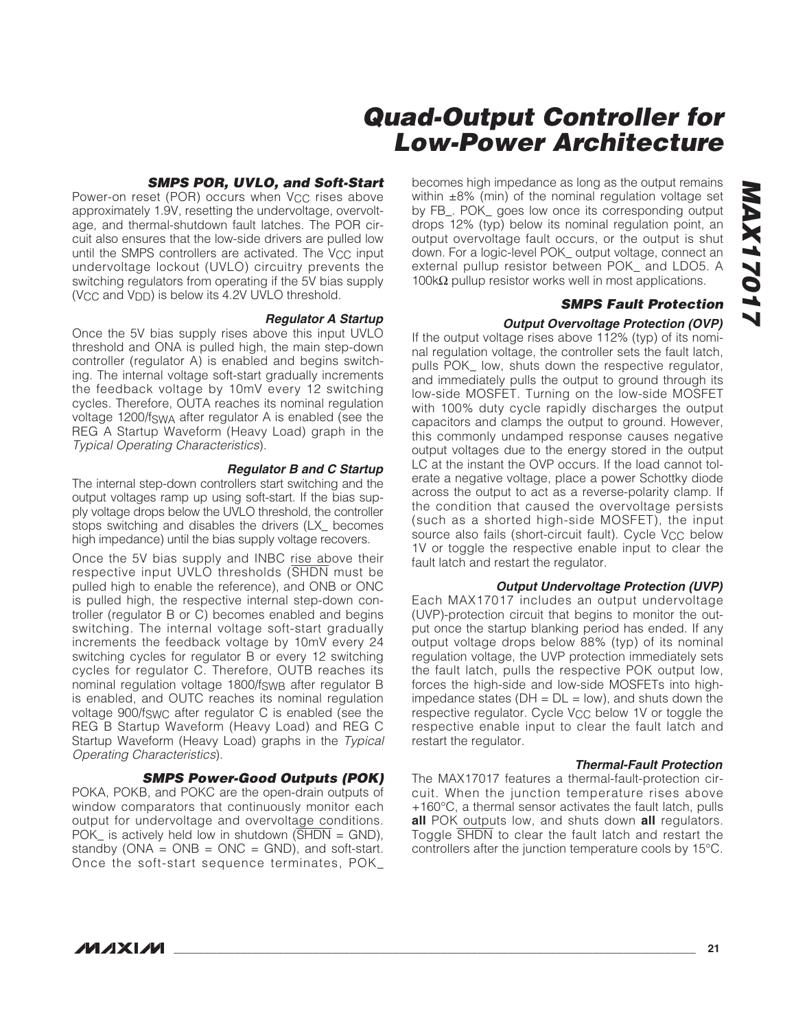### **SMPS POR, UVLO, and Soft-Start**

Power-on reset (POR) occurs when V<sub>CC</sub> rises above approximately 1.9V, resetting the undervoltage, overvoltage, and thermal-shutdown fault latches. The POR circuit also ensures that the low-side drivers are pulled low until the SMPS controllers are activated. The  $V_{CC}$  input undervoltage lockout (UVLO) circuitry prevents the switching regulators from operating if the 5V bias supply  $(V_{\rm CC}$  and  $V_{\rm DD}$ ) is below its 4.2V UVLO threshold.

### **Regulator A Startup**

Once the 5V bias supply rises above this input UVLO threshold and ONA is pulled high, the main step-down controller (regulator A) is enabled and begins switching. The internal voltage soft-start gradually increments the feedback voltage by 10mV every 12 switching cycles. Therefore, OUTA reaches its nominal regulation voltage 1200/fSWA after regulator A is enabled (see the REG A Startup Waveform (Heavy Load) graph in the Typical Operating Characteristics).

### **Regulator B and C Startup**

The internal step-down controllers start switching and the output voltages ramp up using soft-start. If the bias supply voltage drops below the UVLO threshold, the controller stops switching and disables the drivers (LX\_ becomes high impedance) until the bias supply voltage recovers.

Once the 5V bias supply and INBC rise above their respective input UVLO thresholds (SHDN must be pulled high to enable the reference), and ONB or ONC is pulled high, the respective internal step-down controller (regulator B or C) becomes enabled and begins switching. The internal voltage soft-start gradually increments the feedback voltage by 10mV every 24 switching cycles for regulator B or every 12 switching cycles for regulator C. Therefore, OUTB reaches its nominal regulation voltage 1800/fSWB after regulator B is enabled, and OUTC reaches its nominal regulation voltage 900/fSWC after regulator C is enabled (see the REG B Startup Waveform (Heavy Load) and REG C Startup Waveform (Heavy Load) graphs in the Typical Operating Characteristics).

### **SMPS Power-Good Outputs (POK)**

POKA, POKB, and POKC are the open-drain outputs of window comparators that continuously monitor each output for undervoltage and overvoltage conditions. POK\_ is actively held low in shutdown  $(\overline{SHDN} = \text{GND})$ , standby ( $ONA = ONB = ONC = GND$ ), and soft-start. Once the soft-start sequence terminates, POK\_

becomes high impedance as long as the output remains within  $\pm 8\%$  (min) of the nominal regulation voltage set by FB\_. POK\_ goes low once its corresponding output drops 12% (typ) below its nominal regulation point, an output overvoltage fault occurs, or the output is shut down. For a logic-level POK\_ output voltage, connect an external pullup resistor between POK\_ and LDO5. A 100kΩ pullup resistor works well in most applications.

### **SMPS Fault Protection**

### **Output Overvoltage Protection (OVP)**

If the output voltage rises above 112% (typ) of its nominal regulation voltage, the controller sets the fault latch, pulls POK\_ low, shuts down the respective regulator, and immediately pulls the output to ground through its low-side MOSFET. Turning on the low-side MOSFET with 100% duty cycle rapidly discharges the output capacitors and clamps the output to ground. However, this commonly undamped response causes negative output voltages due to the energy stored in the output LC at the instant the OVP occurs. If the load cannot tolerate a negative voltage, place a power Schottky diode across the output to act as a reverse-polarity clamp. If the condition that caused the overvoltage persists (such as a shorted high-side MOSFET), the input source also fails (short-circuit fault). Cycle V<sub>CC</sub> below 1V or toggle the respective enable input to clear the fault latch and restart the regulator.

### **Output Undervoltage Protection (UVP)**

Each MAX17017 includes an output undervoltage (UVP)-protection circuit that begins to monitor the output once the startup blanking period has ended. If any output voltage drops below 88% (typ) of its nominal regulation voltage, the UVP protection immediately sets the fault latch, pulls the respective POK output low, forces the high-side and low-side MOSFETs into highimpedance states ( $DH = DL = low$ ), and shuts down the respective regulator. Cycle V<sub>CC</sub> below 1V or toggle the respective enable input to clear the fault latch and restart the regulator.

### **Thermal-Fault Protection**

The MAX17017 features a thermal-fault-protection circuit. When the junction temperature rises above +160°C, a thermal sensor activates the fault latch, pulls **all** POK outputs low, and shuts down **all** regulators. Toggle SHDN to clear the fault latch and restart the controllers after the junction temperature cools by 15°C.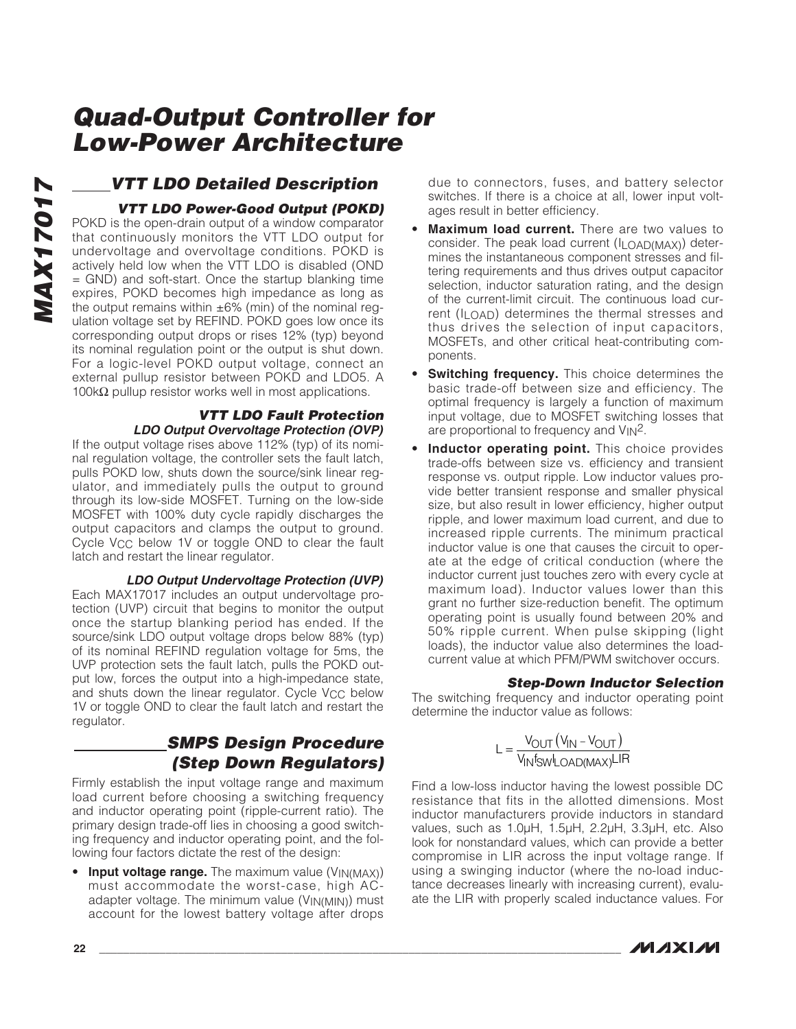### **VTT LDO Detailed Description**

### **VTT LDO Power-Good Output (POKD)**

POKD is the open-drain output of a window comparator that continuously monitors the VTT LDO output for undervoltage and overvoltage conditions. POKD is actively held low when the VTT LDO is disabled (OND = GND) and soft-start. Once the startup blanking time expires, POKD becomes high impedance as long as the output remains within  $\pm 6\%$  (min) of the nominal regulation voltage set by REFIND. POKD goes low once its corresponding output drops or rises 12% (typ) beyond its nominal regulation point or the output is shut down. For a logic-level POKD output voltage, connect an external pullup resistor between POKD and LDO5. A 100kΩ pullup resistor works well in most applications.

### **VTT LDO Fault Protection LDO Output Overvoltage Protection (OVP)**

If the output voltage rises above 112% (typ) of its nominal regulation voltage, the controller sets the fault latch, pulls POKD low, shuts down the source/sink linear regulator, and immediately pulls the output to ground through its low-side MOSFET. Turning on the low-side MOSFET with 100% duty cycle rapidly discharges the output capacitors and clamps the output to ground. Cycle V<sub>CC</sub> below 1V or toggle OND to clear the fault latch and restart the linear regulator.

### **LDO Output Undervoltage Protection (UVP)**

Each MAX17017 includes an output undervoltage protection (UVP) circuit that begins to monitor the output once the startup blanking period has ended. If the source/sink LDO output voltage drops below 88% (typ) of its nominal REFIND regulation voltage for 5ms, the UVP protection sets the fault latch, pulls the POKD output low, forces the output into a high-impedance state, and shuts down the linear regulator. Cycle V<sub>CC</sub> below 1V or toggle OND to clear the fault latch and restart the regulator.

### **SMPS Design Procedure (Step Down Regulators)**

Firmly establish the input voltage range and maximum load current before choosing a switching frequency and inductor operating point (ripple-current ratio). The primary design trade-off lies in choosing a good switching frequency and inductor operating point, and the following four factors dictate the rest of the design:

• **Input voltage range.** The maximum value (V<sub>IN(MAX)</sub>) must accommodate the worst-case, high ACadapter voltage. The minimum value (VIN(MIN)) must account for the lowest battery voltage after drops due to connectors, fuses, and battery selector switches. If there is a choice at all, lower input voltages result in better efficiency.

- **Maximum load current.** There are two values to consider. The peak load current (ILOAD(MAX)) determines the instantaneous component stresses and filtering requirements and thus drives output capacitor selection, inductor saturation rating, and the design of the current-limit circuit. The continuous load current (ILOAD) determines the thermal stresses and thus drives the selection of input capacitors, MOSFETs, and other critical heat-contributing components.
- **Switching frequency.** This choice determines the basic trade-off between size and efficiency. The optimal frequency is largely a function of maximum input voltage, due to MOSFET switching losses that are proportional to frequency and V<sub>IN</sub><sup>2</sup>.
- **Inductor operating point.** This choice provides trade-offs between size vs. efficiency and transient response vs. output ripple. Low inductor values provide better transient response and smaller physical size, but also result in lower efficiency, higher output ripple, and lower maximum load current, and due to increased ripple currents. The minimum practical inductor value is one that causes the circuit to operate at the edge of critical conduction (where the inductor current just touches zero with every cycle at maximum load). Inductor values lower than this grant no further size-reduction benefit. The optimum operating point is usually found between 20% and 50% ripple current. When pulse skipping (light loads), the inductor value also determines the loadcurrent value at which PFM/PWM switchover occurs.

### **Step-Down Inductor Selection**

The switching frequency and inductor operating point determine the inductor value as follows:

$$
L = \frac{V_{OUT}(V_{IN} - V_{OUT})}{V_{IN}f_{SW}I_{LOAD(MAX)}LIR}
$$

Find a low-loss inductor having the lowest possible DC resistance that fits in the allotted dimensions. Most inductor manufacturers provide inductors in standard values, such as 1.0μH, 1.5μH, 2.2μH, 3.3μH, etc. Also look for nonstandard values, which can provide a better compromise in LIR across the input voltage range. If using a swinging inductor (where the no-load inductance decreases linearly with increasing current), evaluate the LIR with properly scaled inductance values. For

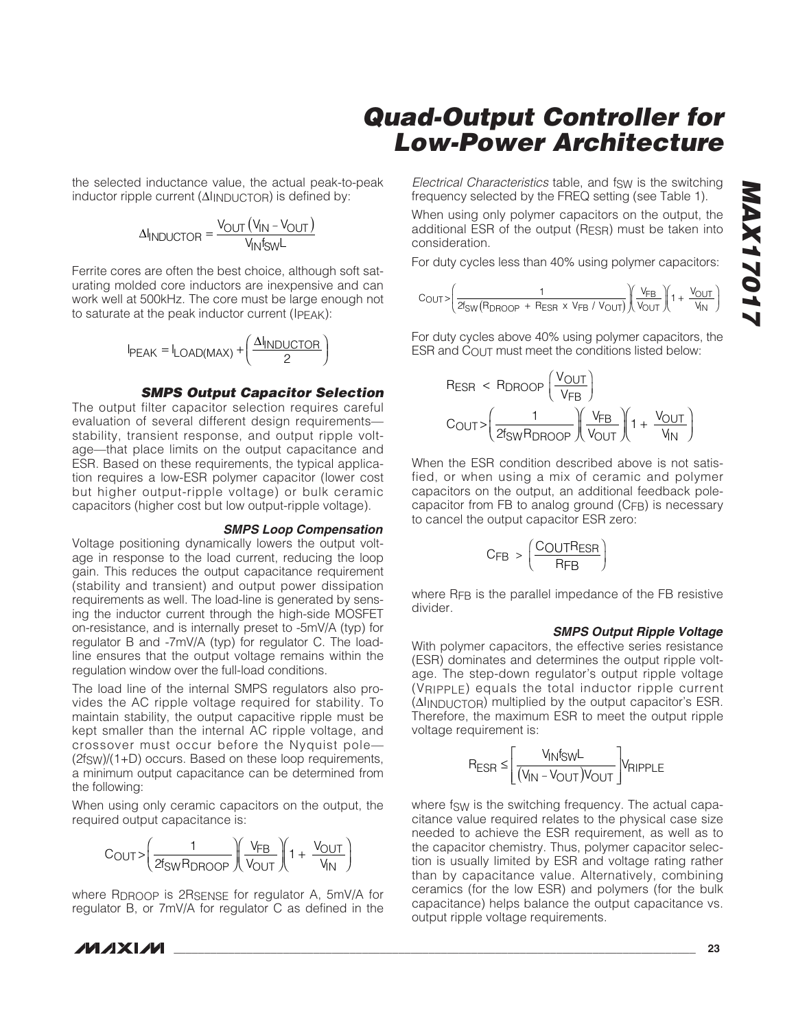the selected inductance value, the actual peak-to-peak inductor ripple current (ΔI<sub>INDUCTOR</sub>) is defined by:

$$
\Delta I_{INDUCTOR} = \frac{V_{OUT} (V_{IN} - V_{OUT})}{V_{IN} f_{SW} L}
$$

Ferrite cores are often the best choice, although soft saturating molded core inductors are inexpensive and can work well at 500kHz. The core must be large enough not to saturate at the peak inductor current (IPEAK):

$$
I_{PEAK} = I_{LOAD(MAX)} + \left(\frac{\Delta I_{INDUCTOR}}{2}\right)
$$

### **SMPS Output Capacitor Selection**

The output filter capacitor selection requires careful evaluation of several different design requirements stability, transient response, and output ripple voltage—that place limits on the output capacitance and ESR. Based on these requirements, the typical application requires a low-ESR polymer capacitor (lower cost but higher output-ripple voltage) or bulk ceramic capacitors (higher cost but low output-ripple voltage).

### **SMPS Loop Compensation**

Voltage positioning dynamically lowers the output voltage in response to the load current, reducing the loop gain. This reduces the output capacitance requirement (stability and transient) and output power dissipation requirements as well. The load-line is generated by sensing the inductor current through the high-side MOSFET on-resistance, and is internally preset to -5mV/A (typ) for regulator B and -7mV/A (typ) for regulator C. The loadline ensures that the output voltage remains within the regulation window over the full-load conditions.

The load line of the internal SMPS regulators also provides the AC ripple voltage required for stability. To maintain stability, the output capacitive ripple must be kept smaller than the internal AC ripple voltage, and crossover must occur before the Nyquist pole— (2fSW)/(1+D) occurs. Based on these loop requirements, a minimum output capacitance can be determined from the following:

When using only ceramic capacitors on the output, the required output capacitance is:

$$
C_{OUT} > \left(\frac{1}{2 f_{SW} R_{DROOP}}\right) \left(\frac{V_{FB}}{V_{OUT}}\right) \left(1 + \frac{V_{OUT}}{V_{IN}}\right)
$$

where RDROOP is 2RSENSE for regulator A, 5mV/A for regulator B, or 7mV/A for regulator C as defined in the

Electrical Characteristics table, and fsw is the switching frequency selected by the FREQ setting (see Table 1).

When using only polymer capacitors on the output, the additional ESR of the output (RESR) must be taken into consideration.

For duty cycles less than 40% using polymer capacitors:

$$
C_{\text{OUT}} > \left(\frac{1}{2 f_{\text{SW}} \left(\text{R}_{\text{D}\text{ROOP}} + \text{R}_{\text{ESR}} \times \text{V}_{\text{FB}} \; / \; \text{V}_{\text{OUT}}}\right) \left(\frac{\text{V}_{\text{FB}}}{\text{V}_{\text{OUT}}} \right) \left(1 + \frac{\text{V}_{\text{OUT}}}{\text{V}_{\text{IN}}}\right)
$$

For duty cycles above 40% using polymer capacitors, the ESR and COUT must meet the conditions listed below:

$$
R_{ESR} < R_{DROOP} \left( \frac{V_{OUT}}{V_{FB}} \right)
$$
\n
$$
C_{OUT} > \left( \frac{1}{2f_{SW}R_{DROOP}} \right) \left( \frac{V_{FB}}{V_{OUT}} \right) \left( 1 + \frac{V_{OUT}}{V_{IN}} \right)
$$

When the ESR condition described above is not satisfied, or when using a mix of ceramic and polymer capacitors on the output, an additional feedback polecapacitor from FB to analog ground (CFB) is necessary to cancel the output capacitor ESR zero:

$$
C_{FB} > \left(\frac{C_{OUT}R_{ESR}}{R_{FB}}\right)
$$

where RFB is the parallel impedance of the FB resistive divider.

### **SMPS Output Ripple Voltage**

With polymer capacitors, the effective series resistance (ESR) dominates and determines the output ripple voltage. The step-down regulator's output ripple voltage (VRIPPLE) equals the total inductor ripple current (ΔIINDUCTOR) multiplied by the output capacitor's ESR. Therefore, the maximum ESR to meet the output ripple voltage requirement is:

$$
R_{ESR} \leq \left[\frac{V_{IN}f_{SW}L}{(V_{IN} - V_{OUT})V_{OUT}}\right]V_{RIPPLE}
$$

where fsw is the switching frequency. The actual capacitance value required relates to the physical case size needed to achieve the ESR requirement, as well as to the capacitor chemistry. Thus, polymer capacitor selection is usually limited by ESR and voltage rating rather than by capacitance value. Alternatively, combining ceramics (for the low ESR) and polymers (for the bulk capacitance) helps balance the output capacitance vs. output ripple voltage requirements.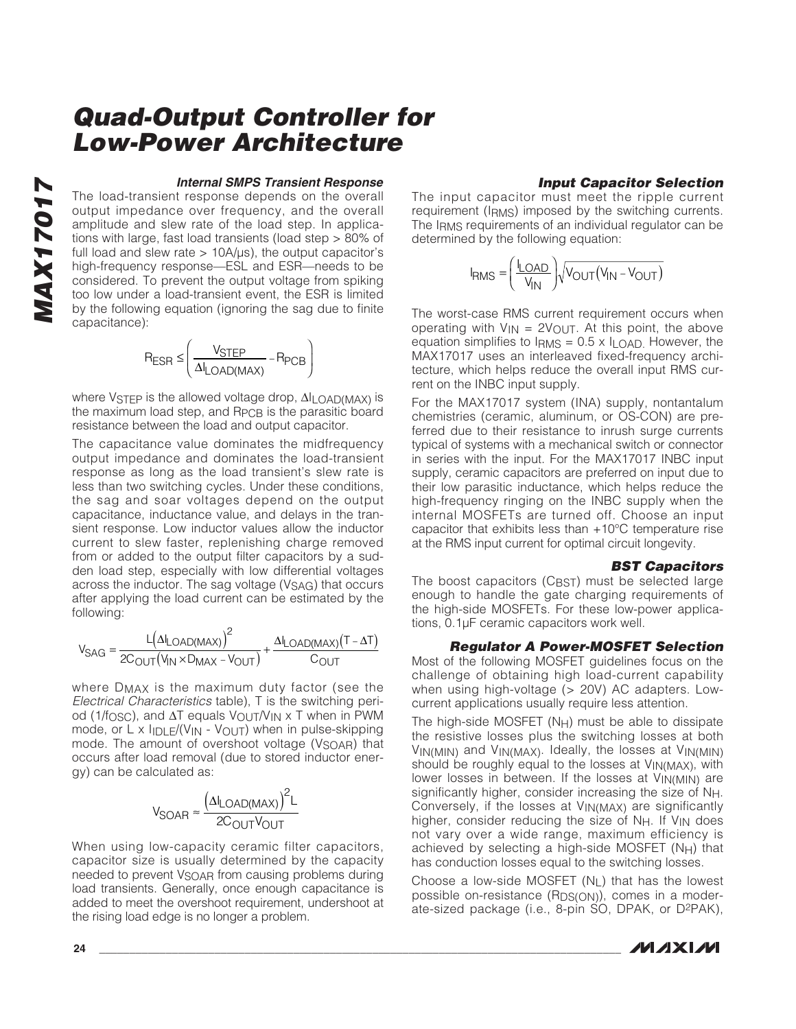### **Internal SMPS Transient Response**

The load-transient response depends on the overall output impedance over frequency, and the overall amplitude and slew rate of the load step. In applications with large, fast load transients (load step > 80% of full load and slew rate  $> 10A/\mu s$ ), the output capacitor's high-frequency response—ESL and ESR—needs to be considered. To prevent the output voltage from spiking too low under a load-transient event, the ESR is limited by the following equation (ignoring the sag due to finite capacitance):

$$
R_{ESR} \leq \left(\frac{V_{STEP}}{\Delta I_{LOAD(MAX)}} - R_{PCB}\right)
$$

where V<sub>STEP</sub> is the allowed voltage drop, ΔI<sub>LOAD</sub>(MAX) is the maximum load step, and RPCB is the parasitic board resistance between the load and output capacitor.

The capacitance value dominates the midfrequency output impedance and dominates the load-transient response as long as the load transient's slew rate is less than two switching cycles. Under these conditions, the sag and soar voltages depend on the output capacitance, inductance value, and delays in the transient response. Low inductor values allow the inductor current to slew faster, replenishing charge removed from or added to the output filter capacitors by a sudden load step, especially with low differential voltages across the inductor. The sag voltage (V<sub>SAG</sub>) that occurs after applying the load current can be estimated by the following:

$$
V_{SAG}=\frac{L\big(\Delta I_{LOAD(MAX)}\big)^2}{2C_{OUT}\big(V_{IN}\times D_{MAX}-V_{OUT}\big)}+\frac{\Delta I_{LOAD(MAX)}\big(T-\Delta T\big)}{C_{OUT}}
$$

where DMAX is the maximum duty factor (see the Electrical Characteristics table), T is the switching period (1/fosc), and  $\Delta T$  equals  $V_{\text{OUT}}/V_{\text{IN}} \times T$  when in PWM mode, or  $L \times I_{\text{IDLE}}/(V_{\text{IN}} - V_{\text{OUT}})$  when in pulse-skipping mode. The amount of overshoot voltage (V<sub>SOAR</sub>) that occurs after load removal (due to stored inductor energy) can be calculated as:

$$
V_{SOAR} \approx \frac{\left(\Delta I_{LOAD(MAX)}\right)^2 L}{2C_{OUT}V_{OUT}}
$$

When using low-capacity ceramic filter capacitors, capacitor size is usually determined by the capacity needed to prevent V<sub>SOAR</sub> from causing problems during load transients. Generally, once enough capacitance is added to meet the overshoot requirement, undershoot at the rising load edge is no longer a problem.

### **Input Capacitor Selection**

The input capacitor must meet the ripple current requirement (IRMS) imposed by the switching currents. The IRMS requirements of an individual regulator can be determined by the following equation:

$$
I_{RMS} = \left(\frac{I_{LOAD}}{V_{IN}}\right)\sqrt{V_{OUT}(V_{IN} - V_{OUT})}
$$

The worst-case RMS current requirement occurs when operating with  $V_{IN} = 2V_{OUT}$ . At this point, the above equation simplifies to  $I<sub>RMS</sub> = 0.5 \times I<sub>LOAD</sub>$ . However, the MAX17017 uses an interleaved fixed-frequency architecture, which helps reduce the overall input RMS current on the INBC input supply.

For the MAX17017 system (INA) supply, nontantalum chemistries (ceramic, aluminum, or OS-CON) are preferred due to their resistance to inrush surge currents typical of systems with a mechanical switch or connector in series with the input. For the MAX17017 INBC input supply, ceramic capacitors are preferred on input due to their low parasitic inductance, which helps reduce the high-frequency ringing on the INBC supply when the internal MOSFETs are turned off. Choose an input capacitor that exhibits less than +10°C temperature rise at the RMS input current for optimal circuit longevity.

### **BST Capacitors**

The boost capacitors (CBST) must be selected large enough to handle the gate charging requirements of the high-side MOSFETs. For these low-power applications, 0.1μF ceramic capacitors work well.

### **Regulator A Power-MOSFET Selection**

Most of the following MOSFET guidelines focus on the challenge of obtaining high load-current capability when using high-voltage (> 20V) AC adapters. Lowcurrent applications usually require less attention.

The high-side MOSFET  $(N_H)$  must be able to dissipate the resistive losses plus the switching losses at both VIN(MIN) and VIN(MAX). Ideally, the losses at VIN(MIN) should be roughly equal to the losses at VIN(MAX), with lower losses in between. If the losses at VIN(MIN) are significantly higher, consider increasing the size of NH. Conversely, if the losses at VIN(MAX) are significantly higher, consider reducing the size of  $N_H$ . If  $V_{IN}$  does not vary over a wide range, maximum efficiency is achieved by selecting a high-side MOSFET ( $NH$ ) that has conduction losses equal to the switching losses.

Choose a low-side MOSFET  $(N<sub>1</sub>)$  that has the lowest possible on-resistance (RDS(ON)), comes in a moderate-sized package (i.e., 8-pin SO, DPAK, or D2PAK),

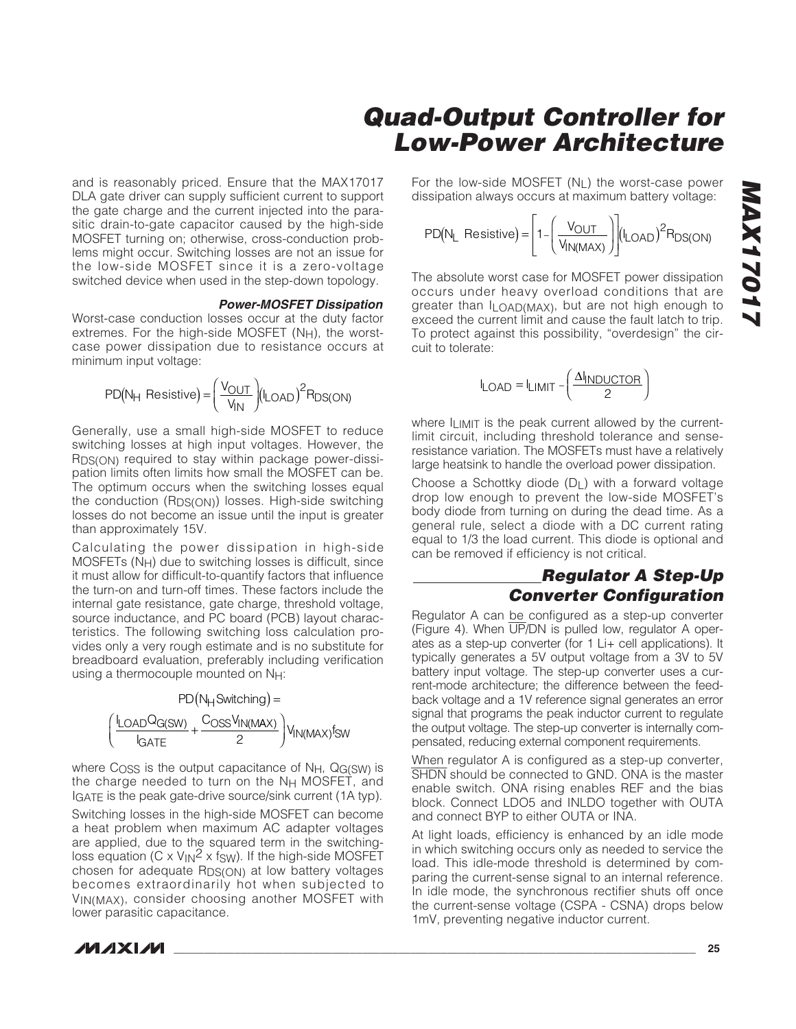and is reasonably priced. Ensure that the MAX17017 DLA gate driver can supply sufficient current to support the gate charge and the current injected into the parasitic drain-to-gate capacitor caused by the high-side MOSFET turning on; otherwise, cross-conduction problems might occur. Switching losses are not an issue for the low-side MOSFET since it is a zero-voltage switched device when used in the step-down topology.

### **Power-MOSFET Dissipation**

Worst-case conduction losses occur at the duty factor extremes. For the high-side MOSFET  $(N_H)$ , the worstcase power dissipation due to resistance occurs at minimum input voltage:

$$
PD(N_H \text{ Resistance}) = \left(\frac{V_{OUT}}{V_{IN}}\right) (I_{LOAD})^2 R_{DS(ON)}
$$

Generally, use a small high-side MOSFET to reduce switching losses at high input voltages. However, the R<sub>DS(ON)</sub> required to stay within package power-dissipation limits often limits how small the MOSFET can be. The optimum occurs when the switching losses equal the conduction (RDS(ON)) losses. High-side switching losses do not become an issue until the input is greater than approximately 15V.

Calculating the power dissipation in high-side MOSFETs (NH) due to switching losses is difficult, since it must allow for difficult-to-quantify factors that influence the turn-on and turn-off times. These factors include the internal gate resistance, gate charge, threshold voltage, source inductance, and PC board (PCB) layout characteristics. The following switching loss calculation provides only a very rough estimate and is no substitute for breadboard evaluation, preferably including verification using a thermocouple mounted on N<sub>H</sub>:

> $PD(N_H$ Switching) =  $\mathsf{I}_{\mathsf{DAD}}\mathsf{Q}$ I  ${\sf Load^Qg}({\sf sw})$  ,  ${\sf Coss} {\sf V}$ GATE  $\frac{(\text{SW})}{\text{S}} + \frac{\text{UOS} \cdot \text{VIN}(\text{MAX})}{2}$  V<sub>IN(MAX)</sub> fsw  $\sqrt{2}$  $\overline{\mathcal{N}}$ ⎞ ⎠ ⎟

where  $C<sub>OSS</sub>$  is the output capacitance of N<sub>H</sub>,  $Q<sub>G(SW)</sub>$  is the charge needed to turn on the NH MOSFET, and IGATE is the peak gate-drive source/sink current (1A typ).

Switching losses in the high-side MOSFET can become a heat problem when maximum AC adapter voltages are applied, due to the squared term in the switchingloss equation (C x  $V_{\text{IN}}^2$  x fsw). If the high-side MOSFET chosen for adequate RDS(ON) at low battery voltages becomes extraordinarily hot when subjected to VIN(MAX), consider choosing another MOSFET with lower parasitic capacitance.

For the low-side MOSFET (NL) the worst-case power dissipation always occurs at maximum battery voltage:

$$
PD(N_L \text{ Resistance}) = \left[1 - \left(\frac{V_{OUT}}{V_{IN(MAX)}}\right)\right] (I_{LOAD})^2 R_{DS(ON)}
$$

The absolute worst case for MOSFET power dissipation occurs under heavy overload conditions that are greater than ILOAD(MAX), but are not high enough to exceed the current limit and cause the fault latch to trip. To protect against this possibility, "overdesign" the circuit to tolerate:

$$
I_{\text{LOAD}} = I_{\text{LIMIT}} - \left(\frac{\Delta I_{\text{INDUCTOR}}}{2}\right)
$$

where ILIMIT is the peak current allowed by the currentlimit circuit, including threshold tolerance and senseresistance variation. The MOSFETs must have a relatively large heatsink to handle the overload power dissipation.

Choose a Schottky diode  $(D_1)$  with a forward voltage drop low enough to prevent the low-side MOSFET's body diode from turning on during the dead time. As a general rule, select a diode with a DC current rating equal to 1/3 the load current. This diode is optional and can be removed if efficiency is not critical.

### **Regulator A Step-Up Converter Configuration**

Regulator A can be configured as a step-up converter (Figure 4). When UP/DN is pulled low, regulator A operates as a step-up converter (for 1 Li+ cell applications). It typically generates a 5V output voltage from a 3V to 5V battery input voltage. The step-up converter uses a current-mode architecture; the difference between the feedback voltage and a 1V reference signal generates an error signal that programs the peak inductor current to regulate the output voltage. The step-up converter is internally compensated, reducing external component requirements.

When regulator A is configured as a step-up converter, SHDN should be connected to GND. ONA is the master enable switch. ONA rising enables REF and the bias block. Connect LDO5 and INLDO together with OUTA and connect BYP to either OUTA or INA.

At light loads, efficiency is enhanced by an idle mode in which switching occurs only as needed to service the load. This idle-mode threshold is determined by comparing the current-sense signal to an internal reference. In idle mode, the synchronous rectifier shuts off once the current-sense voltage (CSPA - CSNA) drops below 1mV, preventing negative inductor current.

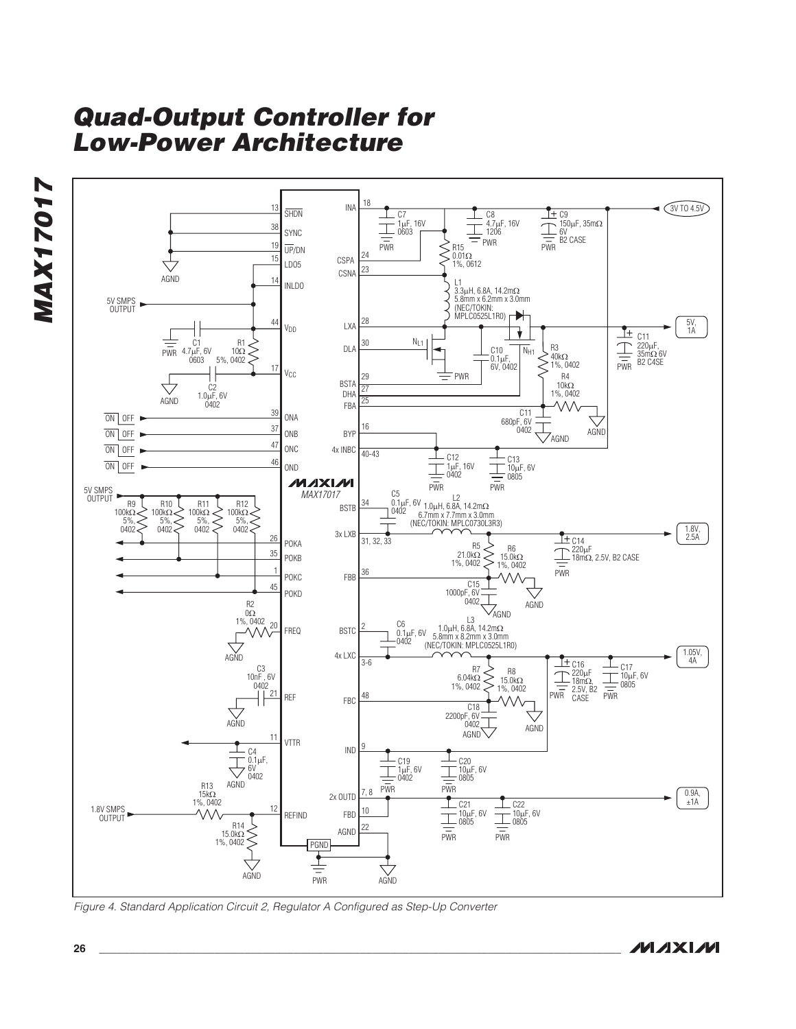

Figure 4. Standard Application Circuit 2, Regulator A Configured as Step-Up Converter

**MAX17017**

**MAX17017**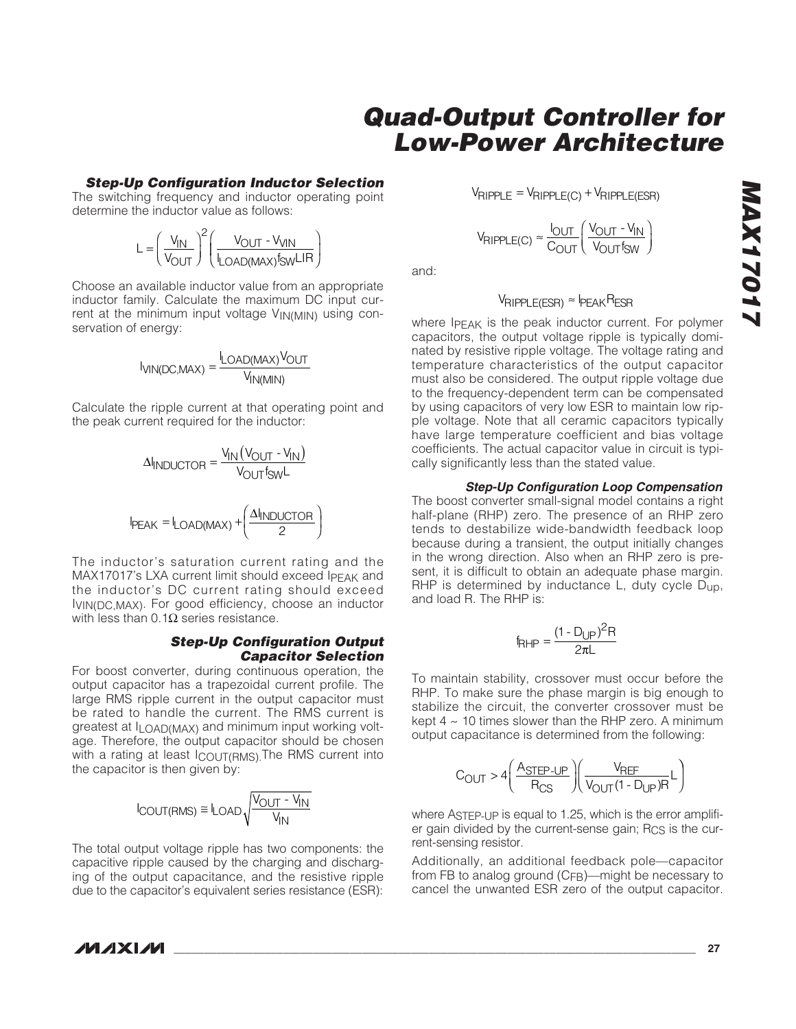# **MAX17017**

# **Quad-Output Controller for Low-Power Architecture**

### **Step-Up Configuration Inductor Selection**

The switching frequency and inductor operating point determine the inductor value as follows:

$$
L = \left(\frac{V_{IN}}{V_{OUT}}\right)^2 \left(\frac{V_{OUT} - V_{VIN}}{I_{LOAD(MAX)}f_{SW}LIR}\right)
$$

Choose an available inductor value from an appropriate inductor family. Calculate the maximum DC input current at the minimum input voltage VIN(MIN) using conservation of energy:

$$
I_{VIN(DC,MAX)} = \frac{I_{LOAD(MAX)}V_{OUT}}{V_{IN(MIN)}}
$$

Calculate the ripple current at that operating point and the peak current required for the inductor:

$$
\Delta I_{INDUCTOR} = \frac{V_{IN}(V_{OUT} - V_{IN})}{V_{OUT}f_{SW}L}
$$
\n
$$
I_{PEAK} = I_{LOAD(MAX)} + \left(\frac{\Delta I_{INDUCTOR}}{2}\right)
$$

The inductor's saturation current rating and the MAX17017's LXA current limit should exceed IPFAK and the inductor's DC current rating should exceed IVIN(DC,MAX). For good efficiency, choose an inductor with less than 0.1 $Ω$  series resistance.

### **Step-Up Configuration Output Capacitor Selection**

For boost converter, during continuous operation, the output capacitor has a trapezoidal current profile. The large RMS ripple current in the output capacitor must be rated to handle the current. The RMS current is greatest at  $I$ <sub>LOAD</sub>(MAX) and minimum input working voltage. Therefore, the output capacitor should be chosen with a rating at least ICOUT(RMS). The RMS current into the capacitor is then given by:

$$
I_{\text{COUT}(\text{RMS})} \cong I_{\text{LOAD}} \sqrt{\frac{V_{\text{OUT}} - V_{\text{IN}}}{V_{\text{IN}}}}
$$

The total output voltage ripple has two components: the capacitive ripple caused by the charging and discharging of the output capacitance, and the resistive ripple due to the capacitor's equivalent series resistance (ESR):  $V_{\text{RIPPLE}} = V_{\text{RIPPLE(C)}} + V_{\text{RIPPLE(ESR)}}$ 

$$
V_{RIPPLE(C)} \approx \frac{I_{OUT}}{C_{OUT}} \left(\frac{V_{OUT} - V_{IN}}{V_{OUT} f_{SW}}\right)
$$

and:

### $V_{\text{RIPPLE(ESR)}} \approx I_{\text{PEAK}}$ RESR

where IPEAK is the peak inductor current. For polymer capacitors, the output voltage ripple is typically dominated by resistive ripple voltage. The voltage rating and temperature characteristics of the output capacitor must also be considered. The output ripple voltage due to the frequency-dependent term can be compensated by using capacitors of very low ESR to maintain low ripple voltage. Note that all ceramic capacitors typically have large temperature coefficient and bias voltage coefficients. The actual capacitor value in circuit is typically significantly less than the stated value.

### **Step-Up Configuration Loop Compensation**

The boost converter small-signal model contains a right half-plane (RHP) zero. The presence of an RHP zero tends to destabilize wide-bandwidth feedback loop because during a transient, the output initially changes in the wrong direction. Also when an RHP zero is present, it is difficult to obtain an adequate phase margin. RHP is determined by inductance L, duty cycle D<sub>up</sub>, and load R. The RHP is:

$$
f_{RHP} = \frac{(1 - D_{UP})^2 R}{2\pi L}
$$

To maintain stability, crossover must occur before the RHP. To make sure the phase margin is big enough to stabilize the circuit, the converter crossover must be kept  $4 \sim 10$  times slower than the RHP zero. A minimum output capacitance is determined from the following:

$$
C_{\text{OUT}} > 4 \left( \frac{A_{\text{STEP-UP}}}{R_{\text{CS}}} \right) \left( \frac{V_{\text{REF}}}{V_{\text{OUT}}(1 - D_{\text{UP}})R} L \right)
$$

where ASTEP-UP is equal to 1.25, which is the error amplifier gain divided by the current-sense gain;  $R_{CS}$  is the current-sensing resistor.

Additionally, an additional feedback pole—capacitor from FB to analog ground (C<sub>FB</sub>)—might be necessary to cancel the unwanted ESR zero of the output capacitor.

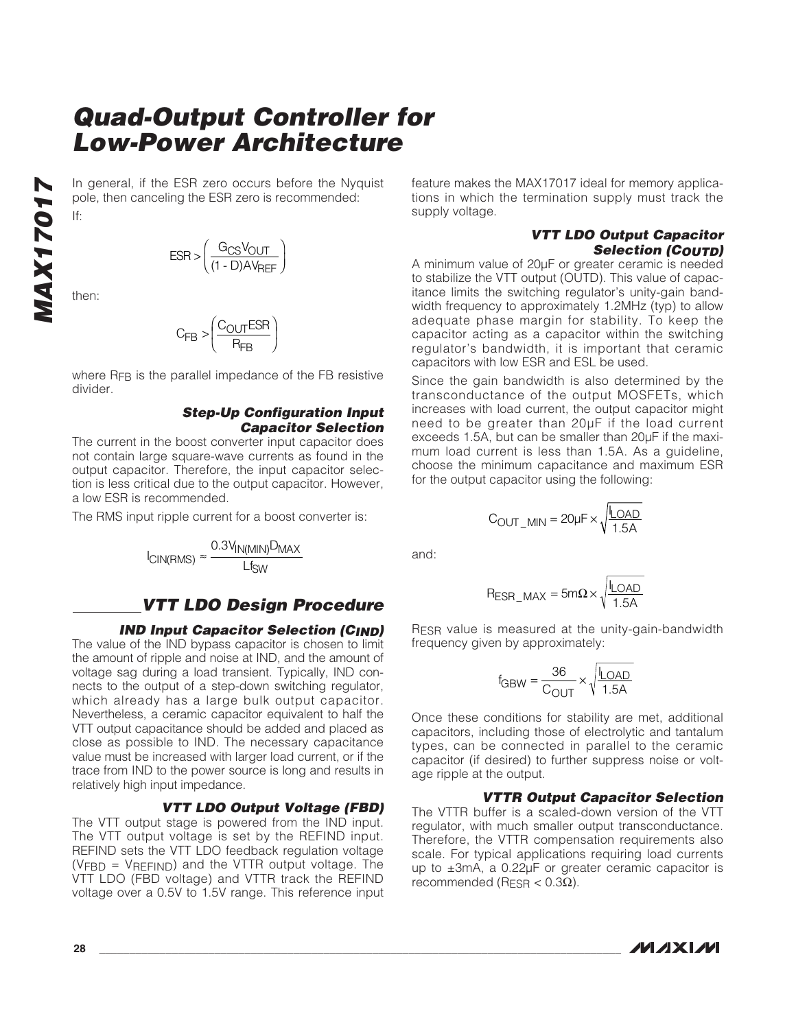In general, if the ESR zero occurs before the Nyquist pole, then canceling the ESR zero is recommended: If:

$$
ESR > \left(\frac{G_{CS}V_{OUT}}{(1-D)AV_{REF}}\right)
$$

then:

**MAX17017**

**MAX1701** 

$$
C_{FB} > \left(\frac{C_{OUT}ESR}{R_{FB}}\right)
$$

where R<sub>FB</sub> is the parallel impedance of the FB resistive divider.

### **Step-Up Configuration Input Capacitor Selection**

The current in the boost converter input capacitor does not contain large square-wave currents as found in the output capacitor. Therefore, the input capacitor selection is less critical due to the output capacitor. However, a low ESR is recommended.

The RMS input ripple current for a boost converter is:

$$
I_{CIN(RMS)} \approx \frac{0.3 V_{IN(MIN)} D_{MAX}}{L f_{SW}}
$$

### **VTT LDO Design Procedure**

### **IND Input Capacitor Selection (CIND)**

The value of the IND bypass capacitor is chosen to limit the amount of ripple and noise at IND, and the amount of voltage sag during a load transient. Typically, IND connects to the output of a step-down switching regulator, which already has a large bulk output capacitor. Nevertheless, a ceramic capacitor equivalent to half the VTT output capacitance should be added and placed as close as possible to IND. The necessary capacitance value must be increased with larger load current, or if the trace from IND to the power source is long and results in relatively high input impedance.

### **VTT LDO Output Voltage (FBD)**

The VTT output stage is powered from the IND input. The VTT output voltage is set by the REFIND input. REFIND sets the VTT LDO feedback regulation voltage (VFBD = VREFIND) and the VTTR output voltage. The VTT LDO (FBD voltage) and VTTR track the REFIND voltage over a 0.5V to 1.5V range. This reference input feature makes the MAX17017 ideal for memory applications in which the termination supply must track the supply voltage.

### **VTT LDO Output Capacitor Selection (COUTD)**

A minimum value of 20μF or greater ceramic is needed to stabilize the VTT output (OUTD). This value of capacitance limits the switching regulator's unity-gain bandwidth frequency to approximately 1.2MHz (typ) to allow adequate phase margin for stability. To keep the capacitor acting as a capacitor within the switching regulator's bandwidth, it is important that ceramic capacitors with low ESR and ESL be used.

Since the gain bandwidth is also determined by the transconductance of the output MOSFETs, which increases with load current, the output capacitor might need to be greater than 20μF if the load current exceeds 1.5A, but can be smaller than 20μF if the maximum load current is less than 1.5A. As a guideline, choose the minimum capacitance and maximum ESR for the output capacitor using the following:

$$
C_{\text{OUT\_MIN}} = 20 \mu F \times \sqrt{\frac{I_{\text{LOAD}}}{1.5 \text{A}}}
$$

and:

$$
R_{ESR\_MAX} = 5m\Omega \times \sqrt{\frac{I_{LOAD}}{1.5A}}
$$

RESR value is measured at the unity-gain-bandwidth frequency given by approximately:

$$
f_{GBW} = \frac{36}{C_{OUT}} \times \sqrt{\frac{I_{LOAD}}{1.5A}}
$$

Once these conditions for stability are met, additional capacitors, including those of electrolytic and tantalum types, can be connected in parallel to the ceramic capacitor (if desired) to further suppress noise or voltage ripple at the output.

### **VTTR Output Capacitor Selection**

The VTTR buffer is a scaled-down version of the VTT regulator, with much smaller output transconductance. Therefore, the VTTR compensation requirements also scale. For typical applications requiring load currents up to ±3mA, a 0.22μF or greater ceramic capacitor is recommended (R<sub>ESR</sub>  $<$  0.3Ω).

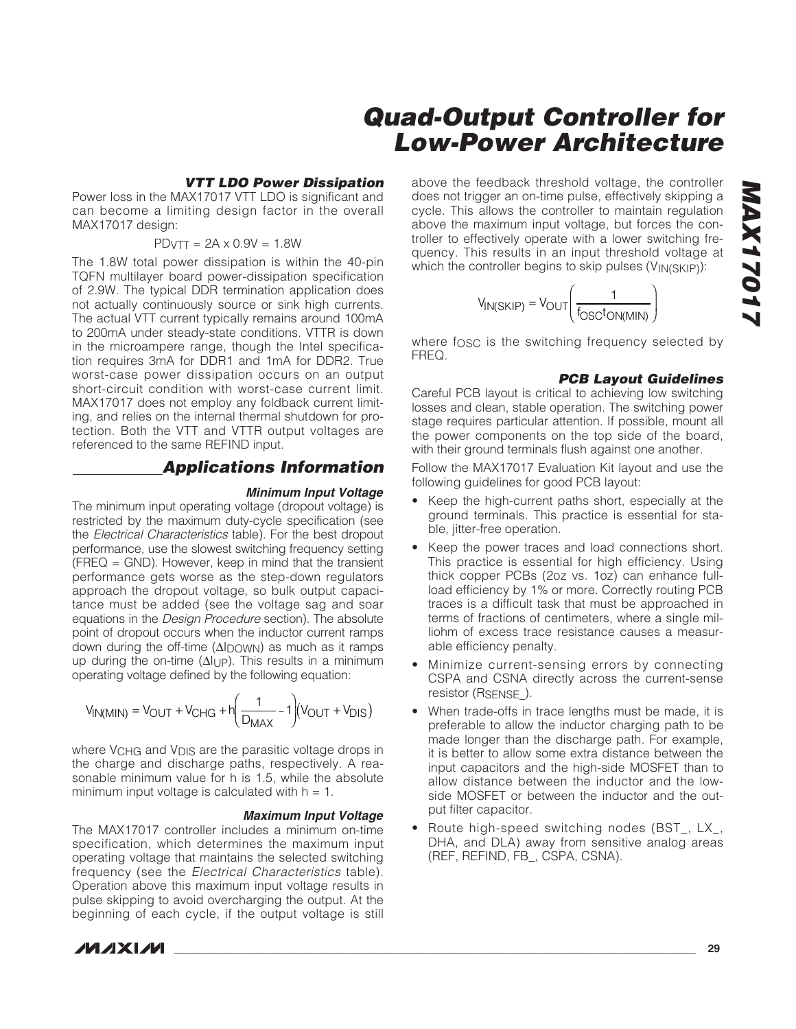### **VTT LDO Power Dissipation**

Power loss in the MAX17017 VTT LDO is significant and can become a limiting design factor in the overall MAX17017 design:

### $PDVTT = 2A \times 0.9V = 1.8W$

The 1.8W total power dissipation is within the 40-pin TQFN multilayer board power-dissipation specification of 2.9W. The typical DDR termination application does not actually continuously source or sink high currents. The actual VTT current typically remains around 100mA to 200mA under steady-state conditions. VTTR is down in the microampere range, though the Intel specification requires 3mA for DDR1 and 1mA for DDR2. True worst-case power dissipation occurs on an output short-circuit condition with worst-case current limit. MAX17017 does not employ any foldback current limiting, and relies on the internal thermal shutdown for protection. Both the VTT and VTTR output voltages are referenced to the same REFIND input.

### **Applications Information**

### **Minimum Input Voltage**

The minimum input operating voltage (dropout voltage) is restricted by the maximum duty-cycle specification (see the Electrical Characteristics table). For the best dropout performance, use the slowest switching frequency setting (FREQ = GND). However, keep in mind that the transient performance gets worse as the step-down regulators approach the dropout voltage, so bulk output capacitance must be added (see the voltage sag and soar equations in the Design Procedure section). The absolute point of dropout occurs when the inductor current ramps down during the off-time (ΔIDOWN) as much as it ramps up during the on-time  $(\Delta I_{UP})$ . This results in a minimum operating voltage defined by the following equation:

$$
V_{IN(MIN)} = V_{OUT} + V_{CHG} + h \left(\frac{1}{D_{MAX}} - 1\right) (V_{OUT} + V_{DIS})
$$

where V<sub>CHG</sub> and V<sub>DIS</sub> are the parasitic voltage drops in the charge and discharge paths, respectively. A reasonable minimum value for h is 1.5, while the absolute minimum input voltage is calculated with  $h = 1$ .

### **Maximum Input Voltage**

The MAX17017 controller includes a minimum on-time specification, which determines the maximum input operating voltage that maintains the selected switching frequency (see the Electrical Characteristics table). Operation above this maximum input voltage results in pulse skipping to avoid overcharging the output. At the beginning of each cycle, if the output voltage is still

**MAXIM** 

above the feedback threshold voltage, the controller does not trigger an on-time pulse, effectively skipping a cycle. This allows the controller to maintain regulation above the maximum input voltage, but forces the controller to effectively operate with a lower switching frequency. This results in an input threshold voltage at which the controller begins to skip pulses (VIN(SKIP)):

$$
V_{IN(SKIP)} = V_{OUT}\left(\frac{1}{f_{OSC}t_{ON(MIN)}}\right)
$$

where fosc is the switching frequency selected by FREQ.

### **PCB Layout Guidelines**

Careful PCB layout is critical to achieving low switching losses and clean, stable operation. The switching power stage requires particular attention. If possible, mount all the power components on the top side of the board, with their ground terminals flush against one another.

Follow the MAX17017 Evaluation Kit layout and use the following guidelines for good PCB layout:

- Keep the high-current paths short, especially at the ground terminals. This practice is essential for stable, jitter-free operation.
- Keep the power traces and load connections short. This practice is essential for high efficiency. Using thick copper PCBs (2oz vs. 1oz) can enhance fullload efficiency by 1% or more. Correctly routing PCB traces is a difficult task that must be approached in terms of fractions of centimeters, where a single milliohm of excess trace resistance causes a measurable efficiency penalty.
- Minimize current-sensing errors by connecting CSPA and CSNA directly across the current-sense resistor (R<sub>SENSE</sub>).
- When trade-offs in trace lengths must be made, it is preferable to allow the inductor charging path to be made longer than the discharge path. For example, it is better to allow some extra distance between the input capacitors and the high-side MOSFET than to allow distance between the inductor and the lowside MOSFET or between the inductor and the output filter capacitor.
- Route high-speed switching nodes (BST\_, LX\_, DHA, and DLA) away from sensitive analog areas (REF, REFIND, FB\_, CSPA, CSNA).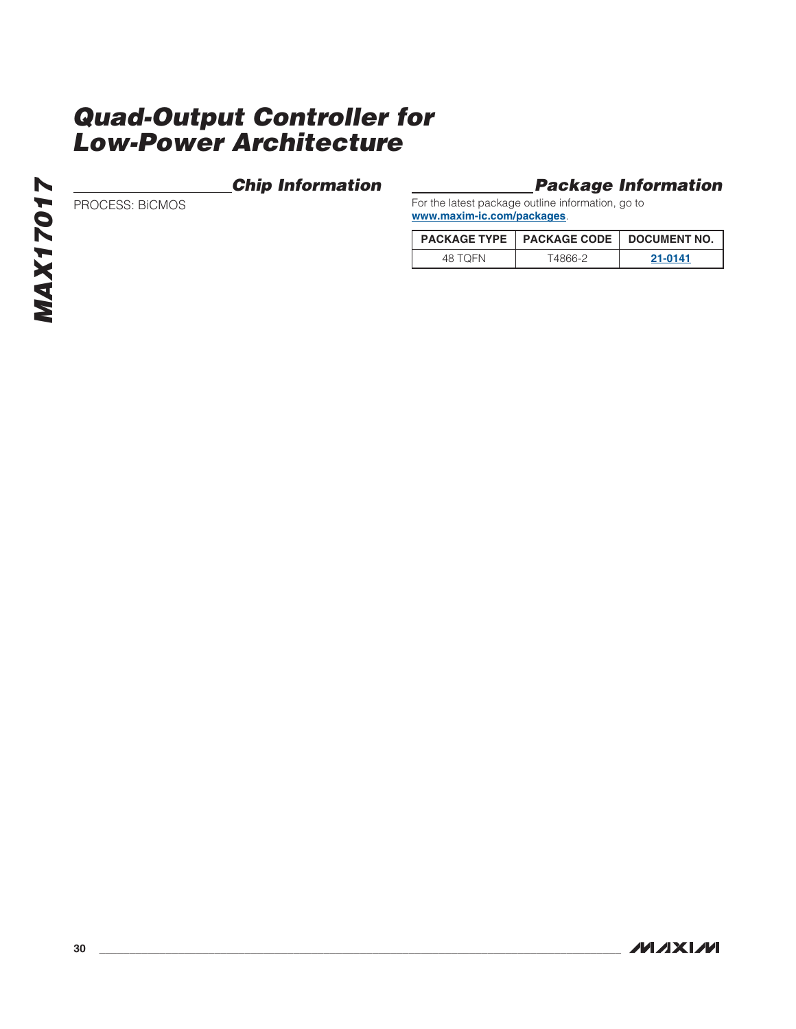### **Chip Information**

### **Package Information**

PROCESS: BiCMOS

For the latest package outline information, go to **www.maxim-ic.com/packages**.

|         | PACKAGE TYPE   PACKAGE CODE   DOCUMENT NO. |         |
|---------|--------------------------------------------|---------|
| 48 TOFN | T4866-2                                    | 21-0141 |